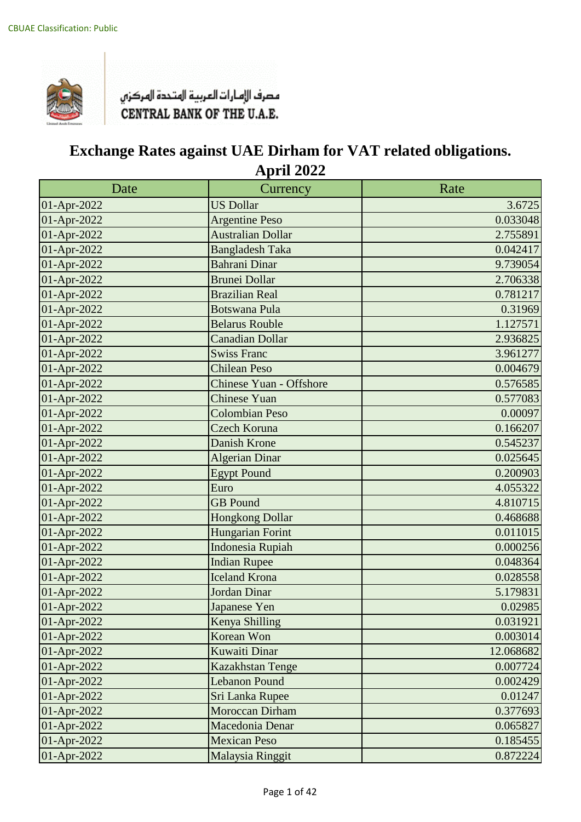

| Date        | Currency                       | Rate      |
|-------------|--------------------------------|-----------|
| 01-Apr-2022 | <b>US Dollar</b>               | 3.6725    |
| 01-Apr-2022 | <b>Argentine Peso</b>          | 0.033048  |
| 01-Apr-2022 | <b>Australian Dollar</b>       | 2.755891  |
| 01-Apr-2022 | <b>Bangladesh Taka</b>         | 0.042417  |
| 01-Apr-2022 | <b>Bahrani Dinar</b>           | 9.739054  |
| 01-Apr-2022 | <b>Brunei Dollar</b>           | 2.706338  |
| 01-Apr-2022 | <b>Brazilian Real</b>          | 0.781217  |
| 01-Apr-2022 | <b>Botswana Pula</b>           | 0.31969   |
| 01-Apr-2022 | <b>Belarus Rouble</b>          | 1.127571  |
| 01-Apr-2022 | <b>Canadian Dollar</b>         | 2.936825  |
| 01-Apr-2022 | <b>Swiss Franc</b>             | 3.961277  |
| 01-Apr-2022 | <b>Chilean Peso</b>            | 0.004679  |
| 01-Apr-2022 | <b>Chinese Yuan - Offshore</b> | 0.576585  |
| 01-Apr-2022 | Chinese Yuan                   | 0.577083  |
| 01-Apr-2022 | <b>Colombian Peso</b>          | 0.00097   |
| 01-Apr-2022 | Czech Koruna                   | 0.166207  |
| 01-Apr-2022 | <b>Danish Krone</b>            | 0.545237  |
| 01-Apr-2022 | <b>Algerian Dinar</b>          | 0.025645  |
| 01-Apr-2022 | <b>Egypt Pound</b>             | 0.200903  |
| 01-Apr-2022 | Euro                           | 4.055322  |
| 01-Apr-2022 | <b>GB</b> Pound                | 4.810715  |
| 01-Apr-2022 | <b>Hongkong Dollar</b>         | 0.468688  |
| 01-Apr-2022 | Hungarian Forint               | 0.011015  |
| 01-Apr-2022 | <b>Indonesia Rupiah</b>        | 0.000256  |
| 01-Apr-2022 | <b>Indian Rupee</b>            | 0.048364  |
| 01-Apr-2022 | <b>Iceland Krona</b>           | 0.028558  |
| 01-Apr-2022 | <b>Jordan Dinar</b>            | 5.179831  |
| 01-Apr-2022 | Japanese Yen                   | 0.02985   |
| 01-Apr-2022 | Kenya Shilling                 | 0.031921  |
| 01-Apr-2022 | Korean Won                     | 0.003014  |
| 01-Apr-2022 | Kuwaiti Dinar                  | 12.068682 |
| 01-Apr-2022 | Kazakhstan Tenge               | 0.007724  |
| 01-Apr-2022 | <b>Lebanon Pound</b>           | 0.002429  |
| 01-Apr-2022 | Sri Lanka Rupee                | 0.01247   |
| 01-Apr-2022 | <b>Moroccan Dirham</b>         | 0.377693  |
| 01-Apr-2022 | Macedonia Denar                | 0.065827  |
| 01-Apr-2022 | <b>Mexican Peso</b>            | 0.185455  |
| 01-Apr-2022 | Malaysia Ringgit               | 0.872224  |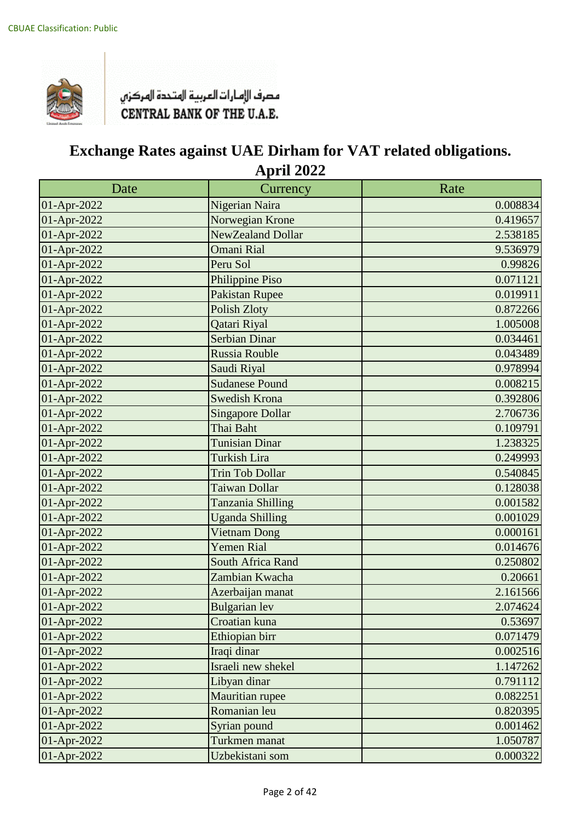

| Date        | Currency                | Rate     |
|-------------|-------------------------|----------|
| 01-Apr-2022 | Nigerian Naira          | 0.008834 |
| 01-Apr-2022 | Norwegian Krone         | 0.419657 |
| 01-Apr-2022 | NewZealand Dollar       | 2.538185 |
| 01-Apr-2022 | <b>Omani Rial</b>       | 9.536979 |
| 01-Apr-2022 | Peru Sol                | 0.99826  |
| 01-Apr-2022 | Philippine Piso         | 0.071121 |
| 01-Apr-2022 | Pakistan Rupee          | 0.019911 |
| 01-Apr-2022 | <b>Polish Zloty</b>     | 0.872266 |
| 01-Apr-2022 | Qatari Riyal            | 1.005008 |
| 01-Apr-2022 | <b>Serbian Dinar</b>    | 0.034461 |
| 01-Apr-2022 | <b>Russia Rouble</b>    | 0.043489 |
| 01-Apr-2022 | Saudi Riyal             | 0.978994 |
| 01-Apr-2022 | <b>Sudanese Pound</b>   | 0.008215 |
| 01-Apr-2022 | <b>Swedish Krona</b>    | 0.392806 |
| 01-Apr-2022 | <b>Singapore Dollar</b> | 2.706736 |
| 01-Apr-2022 | Thai Baht               | 0.109791 |
| 01-Apr-2022 | <b>Tunisian Dinar</b>   | 1.238325 |
| 01-Apr-2022 | <b>Turkish Lira</b>     | 0.249993 |
| 01-Apr-2022 | <b>Trin Tob Dollar</b>  | 0.540845 |
| 01-Apr-2022 | Taiwan Dollar           | 0.128038 |
| 01-Apr-2022 | Tanzania Shilling       | 0.001582 |
| 01-Apr-2022 | <b>Uganda Shilling</b>  | 0.001029 |
| 01-Apr-2022 | <b>Vietnam Dong</b>     | 0.000161 |
| 01-Apr-2022 | <b>Yemen Rial</b>       | 0.014676 |
| 01-Apr-2022 | South Africa Rand       | 0.250802 |
| 01-Apr-2022 | Zambian Kwacha          | 0.20661  |
| 01-Apr-2022 | Azerbaijan manat        | 2.161566 |
| 01-Apr-2022 | <b>Bulgarian</b> lev    | 2.074624 |
| 01-Apr-2022 | Croatian kuna           | 0.53697  |
| 01-Apr-2022 | Ethiopian birr          | 0.071479 |
| 01-Apr-2022 | Iraqi dinar             | 0.002516 |
| 01-Apr-2022 | Israeli new shekel      | 1.147262 |
| 01-Apr-2022 | Libyan dinar            | 0.791112 |
| 01-Apr-2022 | Mauritian rupee         | 0.082251 |
| 01-Apr-2022 | Romanian leu            | 0.820395 |
| 01-Apr-2022 | Syrian pound            | 0.001462 |
| 01-Apr-2022 | Turkmen manat           | 1.050787 |
| 01-Apr-2022 | Uzbekistani som         | 0.000322 |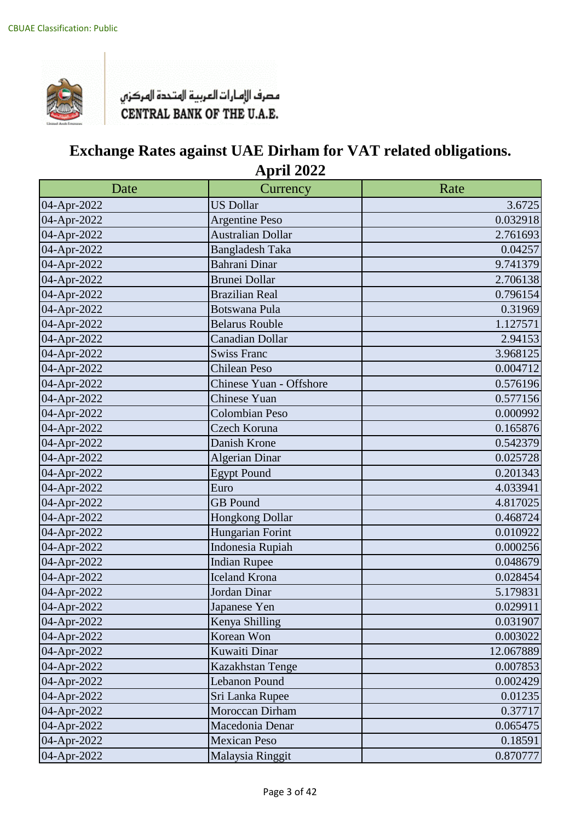

| Date        | Currency                 | Rate      |
|-------------|--------------------------|-----------|
| 04-Apr-2022 | <b>US Dollar</b>         | 3.6725    |
| 04-Apr-2022 | <b>Argentine Peso</b>    | 0.032918  |
| 04-Apr-2022 | <b>Australian Dollar</b> | 2.761693  |
| 04-Apr-2022 | <b>Bangladesh Taka</b>   | 0.04257   |
| 04-Apr-2022 | <b>Bahrani Dinar</b>     | 9.741379  |
| 04-Apr-2022 | <b>Brunei Dollar</b>     | 2.706138  |
| 04-Apr-2022 | <b>Brazilian Real</b>    | 0.796154  |
| 04-Apr-2022 | <b>Botswana Pula</b>     | 0.31969   |
| 04-Apr-2022 | <b>Belarus Rouble</b>    | 1.127571  |
| 04-Apr-2022 | <b>Canadian Dollar</b>   | 2.94153   |
| 04-Apr-2022 | <b>Swiss Franc</b>       | 3.968125  |
| 04-Apr-2022 | <b>Chilean Peso</b>      | 0.004712  |
| 04-Apr-2022 | Chinese Yuan - Offshore  | 0.576196  |
| 04-Apr-2022 | Chinese Yuan             | 0.577156  |
| 04-Apr-2022 | <b>Colombian Peso</b>    | 0.000992  |
| 04-Apr-2022 | Czech Koruna             | 0.165876  |
| 04-Apr-2022 | Danish Krone             | 0.542379  |
| 04-Apr-2022 | <b>Algerian Dinar</b>    | 0.025728  |
| 04-Apr-2022 | <b>Egypt Pound</b>       | 0.201343  |
| 04-Apr-2022 | Euro                     | 4.033941  |
| 04-Apr-2022 | <b>GB</b> Pound          | 4.817025  |
| 04-Apr-2022 | Hongkong Dollar          | 0.468724  |
| 04-Apr-2022 | Hungarian Forint         | 0.010922  |
| 04-Apr-2022 | Indonesia Rupiah         | 0.000256  |
| 04-Apr-2022 | <b>Indian Rupee</b>      | 0.048679  |
| 04-Apr-2022 | <b>Iceland Krona</b>     | 0.028454  |
| 04-Apr-2022 | Jordan Dinar             | 5.179831  |
| 04-Apr-2022 | Japanese Yen             | 0.029911  |
| 04-Apr-2022 | Kenya Shilling           | 0.031907  |
| 04-Apr-2022 | Korean Won               | 0.003022  |
| 04-Apr-2022 | Kuwaiti Dinar            | 12.067889 |
| 04-Apr-2022 | Kazakhstan Tenge         | 0.007853  |
| 04-Apr-2022 | Lebanon Pound            | 0.002429  |
| 04-Apr-2022 | Sri Lanka Rupee          | 0.01235   |
| 04-Apr-2022 | Moroccan Dirham          | 0.37717   |
| 04-Apr-2022 | Macedonia Denar          | 0.065475  |
| 04-Apr-2022 | <b>Mexican Peso</b>      | 0.18591   |
| 04-Apr-2022 | Malaysia Ringgit         | 0.870777  |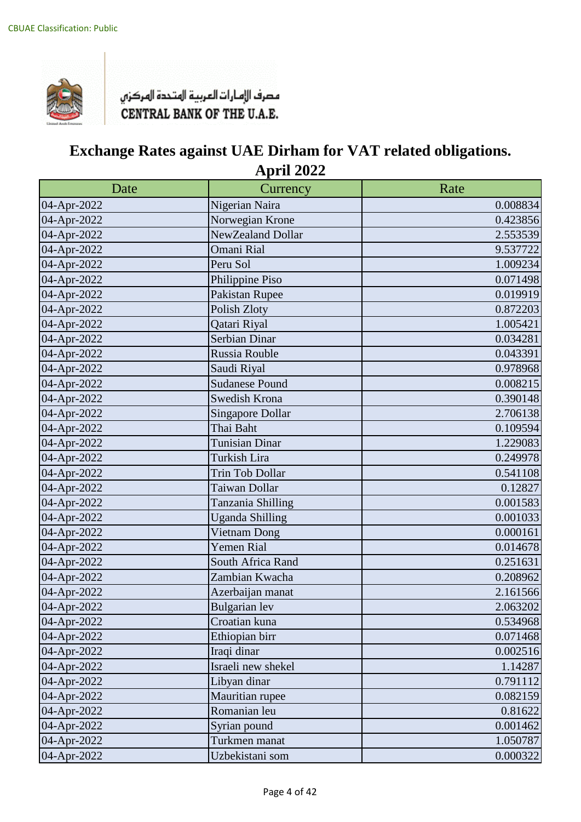

| Date        | Currency                | Rate     |
|-------------|-------------------------|----------|
| 04-Apr-2022 | Nigerian Naira          | 0.008834 |
| 04-Apr-2022 | Norwegian Krone         | 0.423856 |
| 04-Apr-2022 | NewZealand Dollar       | 2.553539 |
| 04-Apr-2022 | Omani Rial              | 9.537722 |
| 04-Apr-2022 | Peru Sol                | 1.009234 |
| 04-Apr-2022 | Philippine Piso         | 0.071498 |
| 04-Apr-2022 | Pakistan Rupee          | 0.019919 |
| 04-Apr-2022 | Polish Zloty            | 0.872203 |
| 04-Apr-2022 | Qatari Riyal            | 1.005421 |
| 04-Apr-2022 | Serbian Dinar           | 0.034281 |
| 04-Apr-2022 | Russia Rouble           | 0.043391 |
| 04-Apr-2022 | Saudi Riyal             | 0.978968 |
| 04-Apr-2022 | <b>Sudanese Pound</b>   | 0.008215 |
| 04-Apr-2022 | Swedish Krona           | 0.390148 |
| 04-Apr-2022 | <b>Singapore Dollar</b> | 2.706138 |
| 04-Apr-2022 | Thai Baht               | 0.109594 |
| 04-Apr-2022 | <b>Tunisian Dinar</b>   | 1.229083 |
| 04-Apr-2022 | Turkish Lira            | 0.249978 |
| 04-Apr-2022 | Trin Tob Dollar         | 0.541108 |
| 04-Apr-2022 | Taiwan Dollar           | 0.12827  |
| 04-Apr-2022 | Tanzania Shilling       | 0.001583 |
| 04-Apr-2022 | <b>Uganda Shilling</b>  | 0.001033 |
| 04-Apr-2022 | <b>Vietnam Dong</b>     | 0.000161 |
| 04-Apr-2022 | <b>Yemen Rial</b>       | 0.014678 |
| 04-Apr-2022 | South Africa Rand       | 0.251631 |
| 04-Apr-2022 | Zambian Kwacha          | 0.208962 |
| 04-Apr-2022 | Azerbaijan manat        | 2.161566 |
| 04-Apr-2022 | Bulgarian lev           | 2.063202 |
| 04-Apr-2022 | Croatian kuna           | 0.534968 |
| 04-Apr-2022 | Ethiopian birr          | 0.071468 |
| 04-Apr-2022 | Iraqi dinar             | 0.002516 |
| 04-Apr-2022 | Israeli new shekel      | 1.14287  |
| 04-Apr-2022 | Libyan dinar            | 0.791112 |
| 04-Apr-2022 | Mauritian rupee         | 0.082159 |
| 04-Apr-2022 | Romanian leu            | 0.81622  |
| 04-Apr-2022 | Syrian pound            | 0.001462 |
| 04-Apr-2022 | Turkmen manat           | 1.050787 |
| 04-Apr-2022 | Uzbekistani som         | 0.000322 |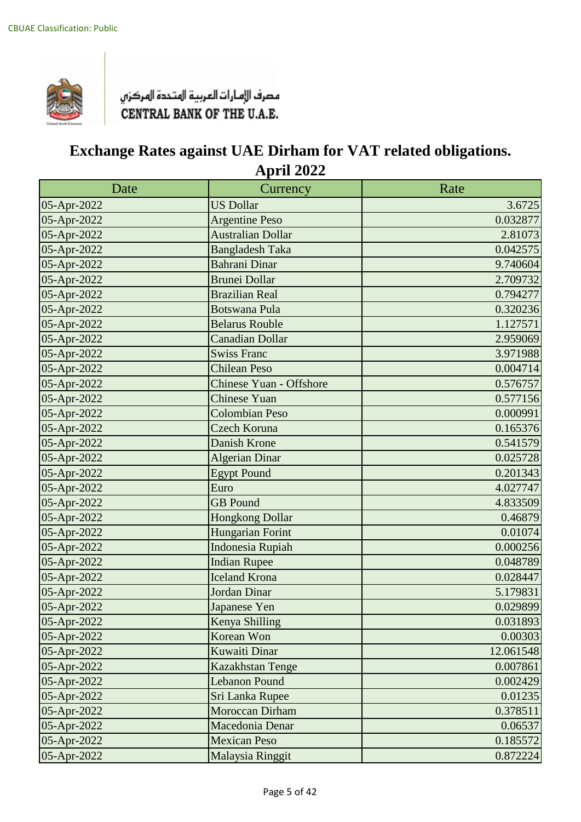

| Date        | Currency                       | Rate      |
|-------------|--------------------------------|-----------|
| 05-Apr-2022 | <b>US Dollar</b>               | 3.6725    |
| 05-Apr-2022 | <b>Argentine Peso</b>          | 0.032877  |
| 05-Apr-2022 | <b>Australian Dollar</b>       | 2.81073   |
| 05-Apr-2022 | <b>Bangladesh Taka</b>         | 0.042575  |
| 05-Apr-2022 | Bahrani Dinar                  | 9.740604  |
| 05-Apr-2022 | <b>Brunei Dollar</b>           | 2.709732  |
| 05-Apr-2022 | <b>Brazilian Real</b>          | 0.794277  |
| 05-Apr-2022 | <b>Botswana Pula</b>           | 0.320236  |
| 05-Apr-2022 | <b>Belarus Rouble</b>          | 1.127571  |
| 05-Apr-2022 | <b>Canadian Dollar</b>         | 2.959069  |
| 05-Apr-2022 | <b>Swiss Franc</b>             | 3.971988  |
| 05-Apr-2022 | <b>Chilean Peso</b>            | 0.004714  |
| 05-Apr-2022 | <b>Chinese Yuan - Offshore</b> | 0.576757  |
| 05-Apr-2022 | Chinese Yuan                   | 0.577156  |
| 05-Apr-2022 | <b>Colombian Peso</b>          | 0.000991  |
| 05-Apr-2022 | Czech Koruna                   | 0.165376  |
| 05-Apr-2022 | <b>Danish Krone</b>            | 0.541579  |
| 05-Apr-2022 | <b>Algerian Dinar</b>          | 0.025728  |
| 05-Apr-2022 | <b>Egypt Pound</b>             | 0.201343  |
| 05-Apr-2022 | Euro                           | 4.027747  |
| 05-Apr-2022 | <b>GB</b> Pound                | 4.833509  |
| 05-Apr-2022 | <b>Hongkong Dollar</b>         | 0.46879   |
| 05-Apr-2022 | Hungarian Forint               | 0.01074   |
| 05-Apr-2022 | <b>Indonesia Rupiah</b>        | 0.000256  |
| 05-Apr-2022 | <b>Indian Rupee</b>            | 0.048789  |
| 05-Apr-2022 | <b>Iceland Krona</b>           | 0.028447  |
| 05-Apr-2022 | Jordan Dinar                   | 5.179831  |
| 05-Apr-2022 | Japanese Yen                   | 0.029899  |
| 05-Apr-2022 | Kenya Shilling                 | 0.031893  |
| 05-Apr-2022 | Korean Won                     | 0.00303   |
| 05-Apr-2022 | Kuwaiti Dinar                  | 12.061548 |
| 05-Apr-2022 | Kazakhstan Tenge               | 0.007861  |
| 05-Apr-2022 | <b>Lebanon Pound</b>           | 0.002429  |
| 05-Apr-2022 | Sri Lanka Rupee                | 0.01235   |
| 05-Apr-2022 | Moroccan Dirham                | 0.378511  |
| 05-Apr-2022 | Macedonia Denar                | 0.06537   |
| 05-Apr-2022 | <b>Mexican Peso</b>            | 0.185572  |
| 05-Apr-2022 | Malaysia Ringgit               | 0.872224  |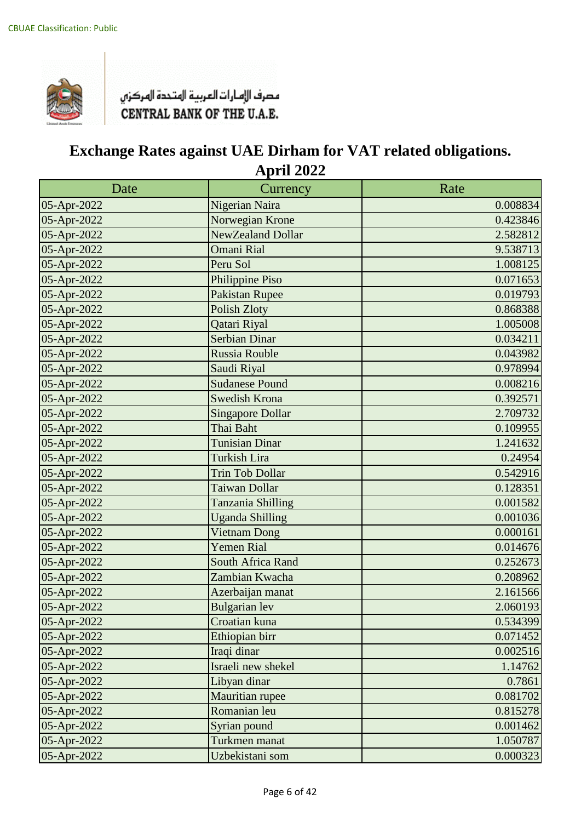

| Date        | Currency                | Rate     |
|-------------|-------------------------|----------|
| 05-Apr-2022 | Nigerian Naira          | 0.008834 |
| 05-Apr-2022 | Norwegian Krone         | 0.423846 |
| 05-Apr-2022 | NewZealand Dollar       | 2.582812 |
| 05-Apr-2022 | <b>Omani Rial</b>       | 9.538713 |
| 05-Apr-2022 | Peru Sol                | 1.008125 |
| 05-Apr-2022 | Philippine Piso         | 0.071653 |
| 05-Apr-2022 | <b>Pakistan Rupee</b>   | 0.019793 |
| 05-Apr-2022 | <b>Polish Zloty</b>     | 0.868388 |
| 05-Apr-2022 | Qatari Riyal            | 1.005008 |
| 05-Apr-2022 | <b>Serbian Dinar</b>    | 0.034211 |
| 05-Apr-2022 | Russia Rouble           | 0.043982 |
| 05-Apr-2022 | Saudi Riyal             | 0.978994 |
| 05-Apr-2022 | <b>Sudanese Pound</b>   | 0.008216 |
| 05-Apr-2022 | <b>Swedish Krona</b>    | 0.392571 |
| 05-Apr-2022 | <b>Singapore Dollar</b> | 2.709732 |
| 05-Apr-2022 | Thai Baht               | 0.109955 |
| 05-Apr-2022 | <b>Tunisian Dinar</b>   | 1.241632 |
| 05-Apr-2022 | <b>Turkish Lira</b>     | 0.24954  |
| 05-Apr-2022 | <b>Trin Tob Dollar</b>  | 0.542916 |
| 05-Apr-2022 | Taiwan Dollar           | 0.128351 |
| 05-Apr-2022 | Tanzania Shilling       | 0.001582 |
| 05-Apr-2022 | <b>Uganda Shilling</b>  | 0.001036 |
| 05-Apr-2022 | <b>Vietnam Dong</b>     | 0.000161 |
| 05-Apr-2022 | <b>Yemen Rial</b>       | 0.014676 |
| 05-Apr-2022 | South Africa Rand       | 0.252673 |
| 05-Apr-2022 | Zambian Kwacha          | 0.208962 |
| 05-Apr-2022 | Azerbaijan manat        | 2.161566 |
| 05-Apr-2022 | <b>Bulgarian</b> lev    | 2.060193 |
| 05-Apr-2022 | Croatian kuna           | 0.534399 |
| 05-Apr-2022 | Ethiopian birr          | 0.071452 |
| 05-Apr-2022 | Iraqi dinar             | 0.002516 |
| 05-Apr-2022 | Israeli new shekel      | 1.14762  |
| 05-Apr-2022 | Libyan dinar            | 0.7861   |
| 05-Apr-2022 | Mauritian rupee         | 0.081702 |
| 05-Apr-2022 | Romanian leu            | 0.815278 |
| 05-Apr-2022 | Syrian pound            | 0.001462 |
| 05-Apr-2022 | Turkmen manat           | 1.050787 |
| 05-Apr-2022 | Uzbekistani som         | 0.000323 |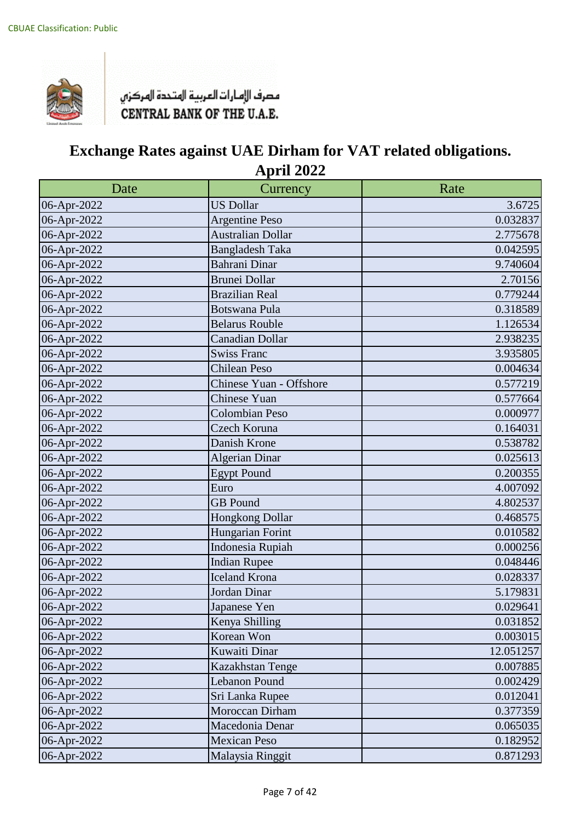

| Date        | Currency                 | Rate      |
|-------------|--------------------------|-----------|
| 06-Apr-2022 | <b>US Dollar</b>         | 3.6725    |
| 06-Apr-2022 | <b>Argentine Peso</b>    | 0.032837  |
| 06-Apr-2022 | <b>Australian Dollar</b> | 2.775678  |
| 06-Apr-2022 | <b>Bangladesh Taka</b>   | 0.042595  |
| 06-Apr-2022 | <b>Bahrani Dinar</b>     | 9.740604  |
| 06-Apr-2022 | <b>Brunei Dollar</b>     | 2.70156   |
| 06-Apr-2022 | <b>Brazilian Real</b>    | 0.779244  |
| 06-Apr-2022 | <b>Botswana Pula</b>     | 0.318589  |
| 06-Apr-2022 | <b>Belarus Rouble</b>    | 1.126534  |
| 06-Apr-2022 | <b>Canadian Dollar</b>   | 2.938235  |
| 06-Apr-2022 | <b>Swiss Franc</b>       | 3.935805  |
| 06-Apr-2022 | <b>Chilean Peso</b>      | 0.004634  |
| 06-Apr-2022 | Chinese Yuan - Offshore  | 0.577219  |
| 06-Apr-2022 | Chinese Yuan             | 0.577664  |
| 06-Apr-2022 | <b>Colombian Peso</b>    | 0.000977  |
| 06-Apr-2022 | Czech Koruna             | 0.164031  |
| 06-Apr-2022 | Danish Krone             | 0.538782  |
| 06-Apr-2022 | <b>Algerian Dinar</b>    | 0.025613  |
| 06-Apr-2022 | <b>Egypt Pound</b>       | 0.200355  |
| 06-Apr-2022 | Euro                     | 4.007092  |
| 06-Apr-2022 | <b>GB</b> Pound          | 4.802537  |
| 06-Apr-2022 | Hongkong Dollar          | 0.468575  |
| 06-Apr-2022 | Hungarian Forint         | 0.010582  |
| 06-Apr-2022 | Indonesia Rupiah         | 0.000256  |
| 06-Apr-2022 | <b>Indian Rupee</b>      | 0.048446  |
| 06-Apr-2022 | <b>Iceland Krona</b>     | 0.028337  |
| 06-Apr-2022 | Jordan Dinar             | 5.179831  |
| 06-Apr-2022 | Japanese Yen             | 0.029641  |
| 06-Apr-2022 | Kenya Shilling           | 0.031852  |
| 06-Apr-2022 | Korean Won               | 0.003015  |
| 06-Apr-2022 | Kuwaiti Dinar            | 12.051257 |
| 06-Apr-2022 | Kazakhstan Tenge         | 0.007885  |
| 06-Apr-2022 | Lebanon Pound            | 0.002429  |
| 06-Apr-2022 | Sri Lanka Rupee          | 0.012041  |
| 06-Apr-2022 | Moroccan Dirham          | 0.377359  |
| 06-Apr-2022 | Macedonia Denar          | 0.065035  |
| 06-Apr-2022 | <b>Mexican Peso</b>      | 0.182952  |
| 06-Apr-2022 | Malaysia Ringgit         | 0.871293  |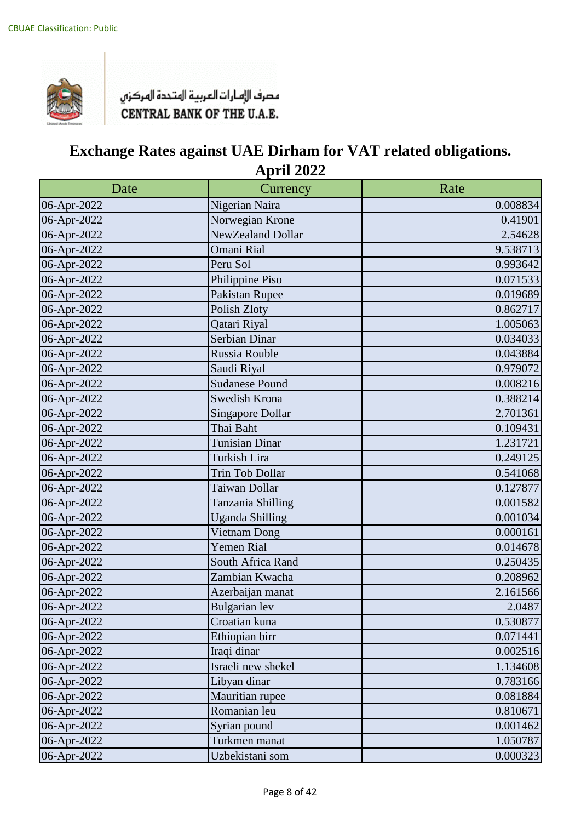

| Date        | Currency                | Rate     |
|-------------|-------------------------|----------|
| 06-Apr-2022 | Nigerian Naira          | 0.008834 |
| 06-Apr-2022 | Norwegian Krone         | 0.41901  |
| 06-Apr-2022 | NewZealand Dollar       | 2.54628  |
| 06-Apr-2022 | <b>Omani Rial</b>       | 9.538713 |
| 06-Apr-2022 | Peru Sol                | 0.993642 |
| 06-Apr-2022 | Philippine Piso         | 0.071533 |
| 06-Apr-2022 | Pakistan Rupee          | 0.019689 |
| 06-Apr-2022 | Polish Zloty            | 0.862717 |
| 06-Apr-2022 | Qatari Riyal            | 1.005063 |
| 06-Apr-2022 | Serbian Dinar           | 0.034033 |
| 06-Apr-2022 | Russia Rouble           | 0.043884 |
| 06-Apr-2022 | Saudi Riyal             | 0.979072 |
| 06-Apr-2022 | <b>Sudanese Pound</b>   | 0.008216 |
| 06-Apr-2022 | Swedish Krona           | 0.388214 |
| 06-Apr-2022 | <b>Singapore Dollar</b> | 2.701361 |
| 06-Apr-2022 | Thai Baht               | 0.109431 |
| 06-Apr-2022 | <b>Tunisian Dinar</b>   | 1.231721 |
| 06-Apr-2022 | Turkish Lira            | 0.249125 |
| 06-Apr-2022 | Trin Tob Dollar         | 0.541068 |
| 06-Apr-2022 | Taiwan Dollar           | 0.127877 |
| 06-Apr-2022 | Tanzania Shilling       | 0.001582 |
| 06-Apr-2022 | <b>Uganda Shilling</b>  | 0.001034 |
| 06-Apr-2022 | Vietnam Dong            | 0.000161 |
| 06-Apr-2022 | <b>Yemen Rial</b>       | 0.014678 |
| 06-Apr-2022 | South Africa Rand       | 0.250435 |
| 06-Apr-2022 | Zambian Kwacha          | 0.208962 |
| 06-Apr-2022 | Azerbaijan manat        | 2.161566 |
| 06-Apr-2022 | Bulgarian lev           | 2.0487   |
| 06-Apr-2022 | Croatian kuna           | 0.530877 |
| 06-Apr-2022 | Ethiopian birr          | 0.071441 |
| 06-Apr-2022 | Iraqi dinar             | 0.002516 |
| 06-Apr-2022 | Israeli new shekel      | 1.134608 |
| 06-Apr-2022 | Libyan dinar            | 0.783166 |
| 06-Apr-2022 | Mauritian rupee         | 0.081884 |
| 06-Apr-2022 | Romanian leu            | 0.810671 |
| 06-Apr-2022 | Syrian pound            | 0.001462 |
| 06-Apr-2022 | Turkmen manat           | 1.050787 |
| 06-Apr-2022 | Uzbekistani som         | 0.000323 |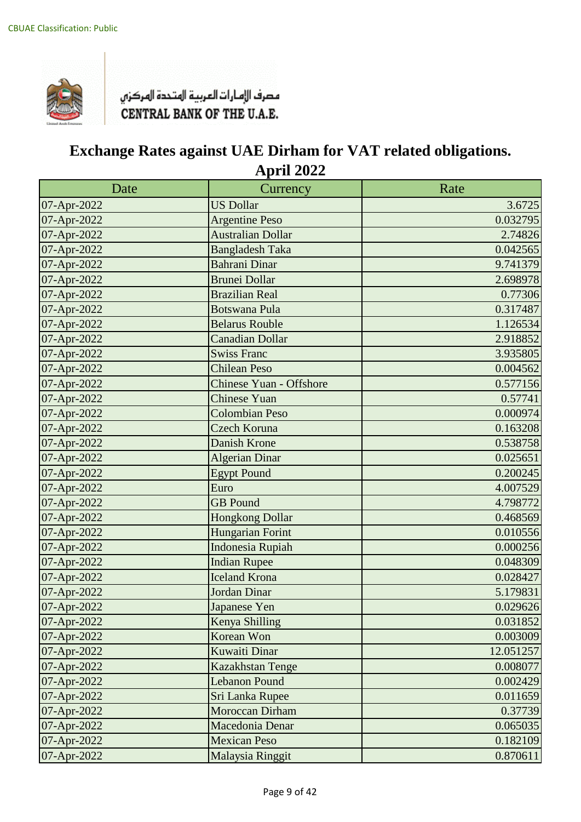

| Date        | Currency                       | Rate      |
|-------------|--------------------------------|-----------|
| 07-Apr-2022 | <b>US Dollar</b>               | 3.6725    |
| 07-Apr-2022 | <b>Argentine Peso</b>          | 0.032795  |
| 07-Apr-2022 | <b>Australian Dollar</b>       | 2.74826   |
| 07-Apr-2022 | <b>Bangladesh Taka</b>         | 0.042565  |
| 07-Apr-2022 | <b>Bahrani Dinar</b>           | 9.741379  |
| 07-Apr-2022 | <b>Brunei Dollar</b>           | 2.698978  |
| 07-Apr-2022 | <b>Brazilian Real</b>          | 0.77306   |
| 07-Apr-2022 | <b>Botswana Pula</b>           | 0.317487  |
| 07-Apr-2022 | <b>Belarus Rouble</b>          | 1.126534  |
| 07-Apr-2022 | <b>Canadian Dollar</b>         | 2.918852  |
| 07-Apr-2022 | <b>Swiss Franc</b>             | 3.935805  |
| 07-Apr-2022 | <b>Chilean Peso</b>            | 0.004562  |
| 07-Apr-2022 | <b>Chinese Yuan - Offshore</b> | 0.577156  |
| 07-Apr-2022 | Chinese Yuan                   | 0.57741   |
| 07-Apr-2022 | <b>Colombian Peso</b>          | 0.000974  |
| 07-Apr-2022 | Czech Koruna                   | 0.163208  |
| 07-Apr-2022 | <b>Danish Krone</b>            | 0.538758  |
| 07-Apr-2022 | <b>Algerian Dinar</b>          | 0.025651  |
| 07-Apr-2022 | <b>Egypt Pound</b>             | 0.200245  |
| 07-Apr-2022 | Euro                           | 4.007529  |
| 07-Apr-2022 | <b>GB</b> Pound                | 4.798772  |
| 07-Apr-2022 | <b>Hongkong Dollar</b>         | 0.468569  |
| 07-Apr-2022 | Hungarian Forint               | 0.010556  |
| 07-Apr-2022 | <b>Indonesia Rupiah</b>        | 0.000256  |
| 07-Apr-2022 | <b>Indian Rupee</b>            | 0.048309  |
| 07-Apr-2022 | <b>Iceland Krona</b>           | 0.028427  |
| 07-Apr-2022 | <b>Jordan Dinar</b>            | 5.179831  |
| 07-Apr-2022 | Japanese Yen                   | 0.029626  |
| 07-Apr-2022 | Kenya Shilling                 | 0.031852  |
| 07-Apr-2022 | Korean Won                     | 0.003009  |
| 07-Apr-2022 | Kuwaiti Dinar                  | 12.051257 |
| 07-Apr-2022 | Kazakhstan Tenge               | 0.008077  |
| 07-Apr-2022 | <b>Lebanon Pound</b>           | 0.002429  |
| 07-Apr-2022 | Sri Lanka Rupee                | 0.011659  |
| 07-Apr-2022 | Moroccan Dirham                | 0.37739   |
| 07-Apr-2022 | Macedonia Denar                | 0.065035  |
| 07-Apr-2022 | <b>Mexican Peso</b>            | 0.182109  |
| 07-Apr-2022 | Malaysia Ringgit               | 0.870611  |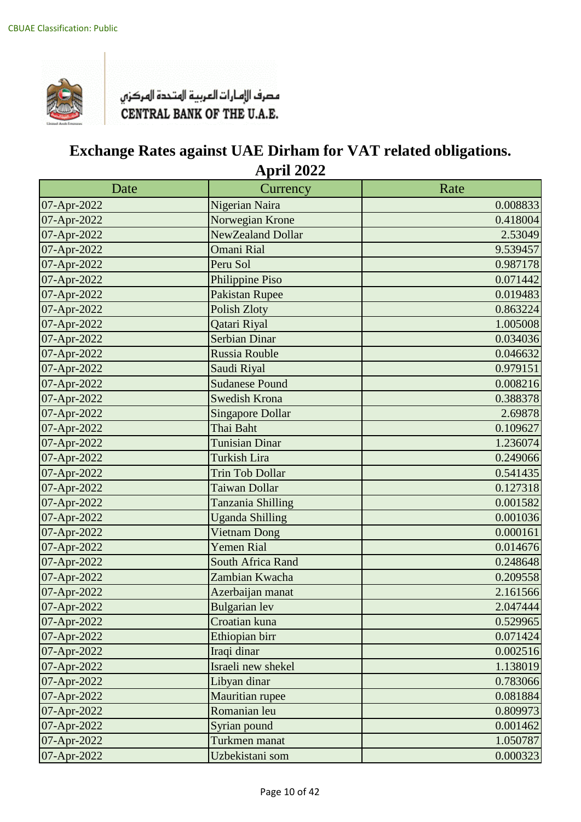

| Date        | Currency                 | Rate     |
|-------------|--------------------------|----------|
| 07-Apr-2022 | Nigerian Naira           | 0.008833 |
| 07-Apr-2022 | Norwegian Krone          | 0.418004 |
| 07-Apr-2022 | <b>NewZealand Dollar</b> | 2.53049  |
| 07-Apr-2022 | <b>Omani Rial</b>        | 9.539457 |
| 07-Apr-2022 | Peru Sol                 | 0.987178 |
| 07-Apr-2022 | Philippine Piso          | 0.071442 |
| 07-Apr-2022 | <b>Pakistan Rupee</b>    | 0.019483 |
| 07-Apr-2022 | <b>Polish Zloty</b>      | 0.863224 |
| 07-Apr-2022 | Qatari Riyal             | 1.005008 |
| 07-Apr-2022 | <b>Serbian Dinar</b>     | 0.034036 |
| 07-Apr-2022 | <b>Russia Rouble</b>     | 0.046632 |
| 07-Apr-2022 | Saudi Riyal              | 0.979151 |
| 07-Apr-2022 | <b>Sudanese Pound</b>    | 0.008216 |
| 07-Apr-2022 | <b>Swedish Krona</b>     | 0.388378 |
| 07-Apr-2022 | <b>Singapore Dollar</b>  | 2.69878  |
| 07-Apr-2022 | Thai Baht                | 0.109627 |
| 07-Apr-2022 | <b>Tunisian Dinar</b>    | 1.236074 |
| 07-Apr-2022 | <b>Turkish Lira</b>      | 0.249066 |
| 07-Apr-2022 | <b>Trin Tob Dollar</b>   | 0.541435 |
| 07-Apr-2022 | Taiwan Dollar            | 0.127318 |
| 07-Apr-2022 | Tanzania Shilling        | 0.001582 |
| 07-Apr-2022 | <b>Uganda Shilling</b>   | 0.001036 |
| 07-Apr-2022 | <b>Vietnam Dong</b>      | 0.000161 |
| 07-Apr-2022 | <b>Yemen Rial</b>        | 0.014676 |
| 07-Apr-2022 | South Africa Rand        | 0.248648 |
| 07-Apr-2022 | Zambian Kwacha           | 0.209558 |
| 07-Apr-2022 | Azerbaijan manat         | 2.161566 |
| 07-Apr-2022 | <b>Bulgarian</b> lev     | 2.047444 |
| 07-Apr-2022 | Croatian kuna            | 0.529965 |
| 07-Apr-2022 | Ethiopian birr           | 0.071424 |
| 07-Apr-2022 | Iraqi dinar              | 0.002516 |
| 07-Apr-2022 | Israeli new shekel       | 1.138019 |
| 07-Apr-2022 | Libyan dinar             | 0.783066 |
| 07-Apr-2022 | Mauritian rupee          | 0.081884 |
| 07-Apr-2022 | Romanian leu             | 0.809973 |
| 07-Apr-2022 | Syrian pound             | 0.001462 |
| 07-Apr-2022 | Turkmen manat            | 1.050787 |
| 07-Apr-2022 | Uzbekistani som          | 0.000323 |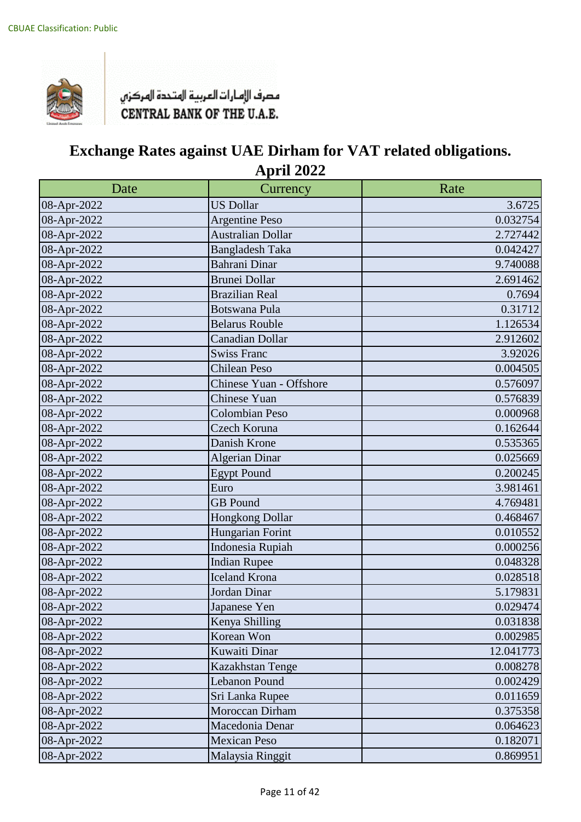

| Date        | Currency                 | Rate      |
|-------------|--------------------------|-----------|
| 08-Apr-2022 | <b>US Dollar</b>         | 3.6725    |
| 08-Apr-2022 | <b>Argentine Peso</b>    | 0.032754  |
| 08-Apr-2022 | <b>Australian Dollar</b> | 2.727442  |
| 08-Apr-2022 | <b>Bangladesh Taka</b>   | 0.042427  |
| 08-Apr-2022 | <b>Bahrani Dinar</b>     | 9.740088  |
| 08-Apr-2022 | <b>Brunei Dollar</b>     | 2.691462  |
| 08-Apr-2022 | <b>Brazilian Real</b>    | 0.7694    |
| 08-Apr-2022 | <b>Botswana Pula</b>     | 0.31712   |
| 08-Apr-2022 | <b>Belarus Rouble</b>    | 1.126534  |
| 08-Apr-2022 | <b>Canadian Dollar</b>   | 2.912602  |
| 08-Apr-2022 | <b>Swiss Franc</b>       | 3.92026   |
| 08-Apr-2022 | <b>Chilean Peso</b>      | 0.004505  |
| 08-Apr-2022 | Chinese Yuan - Offshore  | 0.576097  |
| 08-Apr-2022 | Chinese Yuan             | 0.576839  |
| 08-Apr-2022 | <b>Colombian Peso</b>    | 0.000968  |
| 08-Apr-2022 | Czech Koruna             | 0.162644  |
| 08-Apr-2022 | Danish Krone             | 0.535365  |
| 08-Apr-2022 | <b>Algerian Dinar</b>    | 0.025669  |
| 08-Apr-2022 | <b>Egypt Pound</b>       | 0.200245  |
| 08-Apr-2022 | Euro                     | 3.981461  |
| 08-Apr-2022 | <b>GB</b> Pound          | 4.769481  |
| 08-Apr-2022 | Hongkong Dollar          | 0.468467  |
| 08-Apr-2022 | Hungarian Forint         | 0.010552  |
| 08-Apr-2022 | Indonesia Rupiah         | 0.000256  |
| 08-Apr-2022 | <b>Indian Rupee</b>      | 0.048328  |
| 08-Apr-2022 | <b>Iceland Krona</b>     | 0.028518  |
| 08-Apr-2022 | Jordan Dinar             | 5.179831  |
| 08-Apr-2022 | Japanese Yen             | 0.029474  |
| 08-Apr-2022 | Kenya Shilling           | 0.031838  |
| 08-Apr-2022 | Korean Won               | 0.002985  |
| 08-Apr-2022 | Kuwaiti Dinar            | 12.041773 |
| 08-Apr-2022 | Kazakhstan Tenge         | 0.008278  |
| 08-Apr-2022 | Lebanon Pound            | 0.002429  |
| 08-Apr-2022 | Sri Lanka Rupee          | 0.011659  |
| 08-Apr-2022 | Moroccan Dirham          | 0.375358  |
| 08-Apr-2022 | Macedonia Denar          | 0.064623  |
| 08-Apr-2022 | <b>Mexican Peso</b>      | 0.182071  |
| 08-Apr-2022 | Malaysia Ringgit         | 0.869951  |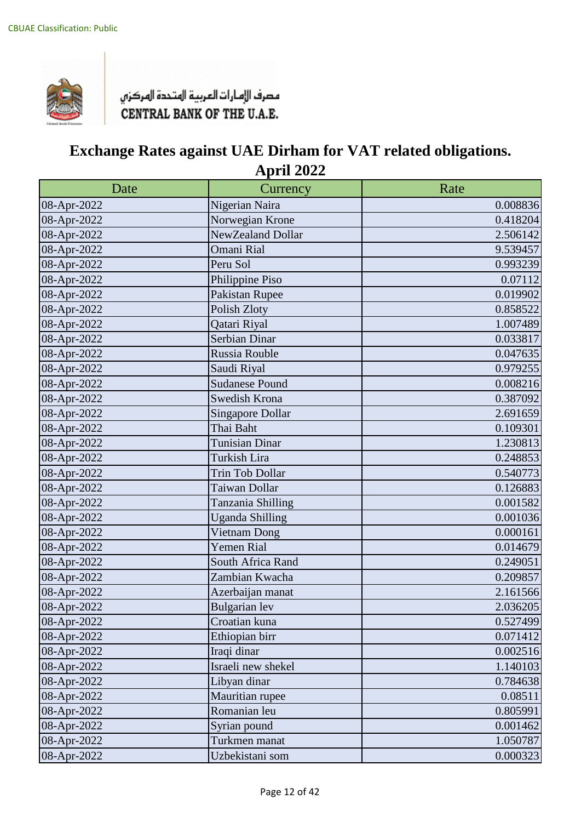

| Date        | Currency                | Rate     |
|-------------|-------------------------|----------|
| 08-Apr-2022 | Nigerian Naira          | 0.008836 |
| 08-Apr-2022 | Norwegian Krone         | 0.418204 |
| 08-Apr-2022 | NewZealand Dollar       | 2.506142 |
| 08-Apr-2022 | <b>Omani Rial</b>       | 9.539457 |
| 08-Apr-2022 | Peru Sol                | 0.993239 |
| 08-Apr-2022 | Philippine Piso         | 0.07112  |
| 08-Apr-2022 | Pakistan Rupee          | 0.019902 |
| 08-Apr-2022 | Polish Zloty            | 0.858522 |
| 08-Apr-2022 | Qatari Riyal            | 1.007489 |
| 08-Apr-2022 | Serbian Dinar           | 0.033817 |
| 08-Apr-2022 | Russia Rouble           | 0.047635 |
| 08-Apr-2022 | Saudi Riyal             | 0.979255 |
| 08-Apr-2022 | <b>Sudanese Pound</b>   | 0.008216 |
| 08-Apr-2022 | Swedish Krona           | 0.387092 |
| 08-Apr-2022 | <b>Singapore Dollar</b> | 2.691659 |
| 08-Apr-2022 | Thai Baht               | 0.109301 |
| 08-Apr-2022 | <b>Tunisian Dinar</b>   | 1.230813 |
| 08-Apr-2022 | Turkish Lira            | 0.248853 |
| 08-Apr-2022 | Trin Tob Dollar         | 0.540773 |
| 08-Apr-2022 | Taiwan Dollar           | 0.126883 |
| 08-Apr-2022 | Tanzania Shilling       | 0.001582 |
| 08-Apr-2022 | <b>Uganda Shilling</b>  | 0.001036 |
| 08-Apr-2022 | Vietnam Dong            | 0.000161 |
| 08-Apr-2022 | <b>Yemen Rial</b>       | 0.014679 |
| 08-Apr-2022 | South Africa Rand       | 0.249051 |
| 08-Apr-2022 | Zambian Kwacha          | 0.209857 |
| 08-Apr-2022 | Azerbaijan manat        | 2.161566 |
| 08-Apr-2022 | <b>Bulgarian</b> lev    | 2.036205 |
| 08-Apr-2022 | Croatian kuna           | 0.527499 |
| 08-Apr-2022 | Ethiopian birr          | 0.071412 |
| 08-Apr-2022 | Iraqi dinar             | 0.002516 |
| 08-Apr-2022 | Israeli new shekel      | 1.140103 |
| 08-Apr-2022 | Libyan dinar            | 0.784638 |
| 08-Apr-2022 | Mauritian rupee         | 0.08511  |
| 08-Apr-2022 | Romanian leu            | 0.805991 |
| 08-Apr-2022 | Syrian pound            | 0.001462 |
| 08-Apr-2022 | Turkmen manat           | 1.050787 |
| 08-Apr-2022 | Uzbekistani som         | 0.000323 |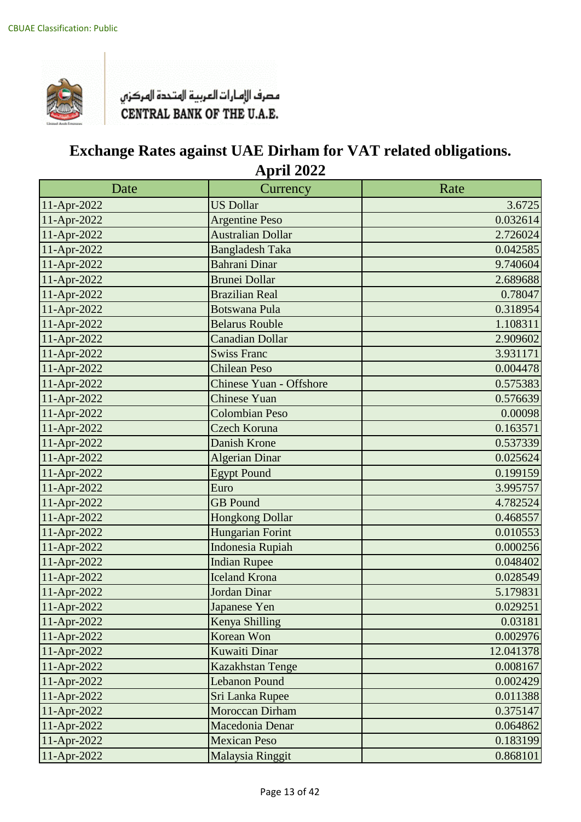

| Date        | Currency                       | Rate      |
|-------------|--------------------------------|-----------|
| 11-Apr-2022 | <b>US Dollar</b>               | 3.6725    |
| 11-Apr-2022 | <b>Argentine Peso</b>          | 0.032614  |
| 11-Apr-2022 | <b>Australian Dollar</b>       | 2.726024  |
| 11-Apr-2022 | <b>Bangladesh Taka</b>         | 0.042585  |
| 11-Apr-2022 | <b>Bahrani Dinar</b>           | 9.740604  |
| 11-Apr-2022 | <b>Brunei Dollar</b>           | 2.689688  |
| 11-Apr-2022 | <b>Brazilian Real</b>          | 0.78047   |
| 11-Apr-2022 | <b>Botswana Pula</b>           | 0.318954  |
| 11-Apr-2022 | <b>Belarus Rouble</b>          | 1.108311  |
| 11-Apr-2022 | <b>Canadian Dollar</b>         | 2.909602  |
| 11-Apr-2022 | Swiss Franc                    | 3.931171  |
| 11-Apr-2022 | <b>Chilean Peso</b>            | 0.004478  |
| 11-Apr-2022 | <b>Chinese Yuan - Offshore</b> | 0.575383  |
| 11-Apr-2022 | <b>Chinese Yuan</b>            | 0.576639  |
| 11-Apr-2022 | <b>Colombian Peso</b>          | 0.00098   |
| 11-Apr-2022 | Czech Koruna                   | 0.163571  |
| 11-Apr-2022 | Danish Krone                   | 0.537339  |
| 11-Apr-2022 | <b>Algerian Dinar</b>          | 0.025624  |
| 11-Apr-2022 | <b>Egypt Pound</b>             | 0.199159  |
| 11-Apr-2022 | Euro                           | 3.995757  |
| 11-Apr-2022 | <b>GB</b> Pound                | 4.782524  |
| 11-Apr-2022 | <b>Hongkong Dollar</b>         | 0.468557  |
| 11-Apr-2022 | Hungarian Forint               | 0.010553  |
| 11-Apr-2022 | <b>Indonesia Rupiah</b>        | 0.000256  |
| 11-Apr-2022 | <b>Indian Rupee</b>            | 0.048402  |
| 11-Apr-2022 | <b>Iceland Krona</b>           | 0.028549  |
| 11-Apr-2022 | <b>Jordan Dinar</b>            | 5.179831  |
| 11-Apr-2022 | Japanese Yen                   | 0.029251  |
| 11-Apr-2022 | Kenya Shilling                 | 0.03181   |
| 11-Apr-2022 | Korean Won                     | 0.002976  |
| 11-Apr-2022 | <b>Kuwaiti Dinar</b>           | 12.041378 |
| 11-Apr-2022 | Kazakhstan Tenge               | 0.008167  |
| 11-Apr-2022 | <b>Lebanon Pound</b>           | 0.002429  |
| 11-Apr-2022 | Sri Lanka Rupee                | 0.011388  |
| 11-Apr-2022 | Moroccan Dirham                | 0.375147  |
| 11-Apr-2022 | Macedonia Denar                | 0.064862  |
| 11-Apr-2022 | <b>Mexican Peso</b>            | 0.183199  |
| 11-Apr-2022 | Malaysia Ringgit               | 0.868101  |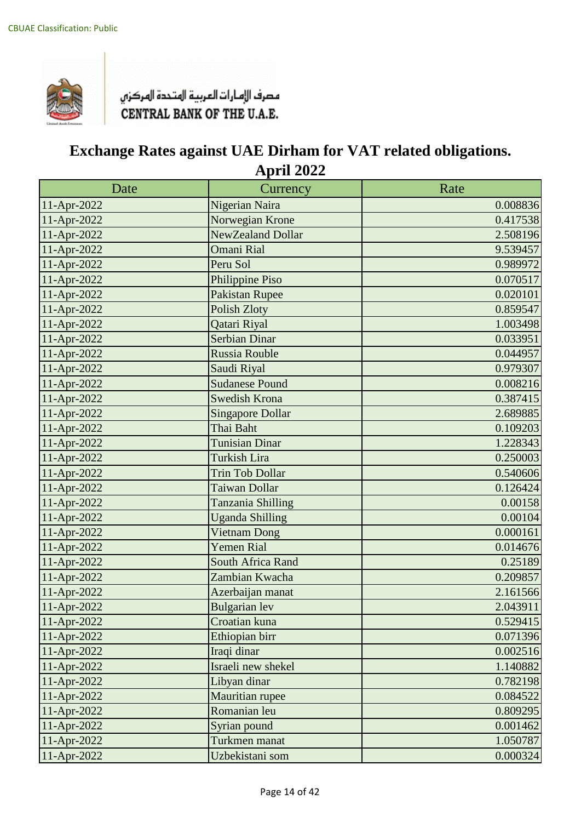

| Date        | Currency                | Rate     |
|-------------|-------------------------|----------|
| 11-Apr-2022 | Nigerian Naira          | 0.008836 |
| 11-Apr-2022 | Norwegian Krone         | 0.417538 |
| 11-Apr-2022 | NewZealand Dollar       | 2.508196 |
| 11-Apr-2022 | <b>Omani Rial</b>       | 9.539457 |
| 11-Apr-2022 | Peru Sol                | 0.989972 |
| 11-Apr-2022 | Philippine Piso         | 0.070517 |
| 11-Apr-2022 | <b>Pakistan Rupee</b>   | 0.020101 |
| 11-Apr-2022 | <b>Polish Zloty</b>     | 0.859547 |
| 11-Apr-2022 | Qatari Riyal            | 1.003498 |
| 11-Apr-2022 | <b>Serbian Dinar</b>    | 0.033951 |
| 11-Apr-2022 | Russia Rouble           | 0.044957 |
| 11-Apr-2022 | Saudi Riyal             | 0.979307 |
| 11-Apr-2022 | <b>Sudanese Pound</b>   | 0.008216 |
| 11-Apr-2022 | <b>Swedish Krona</b>    | 0.387415 |
| 11-Apr-2022 | <b>Singapore Dollar</b> | 2.689885 |
| 11-Apr-2022 | Thai Baht               | 0.109203 |
| 11-Apr-2022 | <b>Tunisian Dinar</b>   | 1.228343 |
| 11-Apr-2022 | <b>Turkish Lira</b>     | 0.250003 |
| 11-Apr-2022 | <b>Trin Tob Dollar</b>  | 0.540606 |
| 11-Apr-2022 | Taiwan Dollar           | 0.126424 |
| 11-Apr-2022 | Tanzania Shilling       | 0.00158  |
| 11-Apr-2022 | <b>Uganda Shilling</b>  | 0.00104  |
| 11-Apr-2022 | <b>Vietnam Dong</b>     | 0.000161 |
| 11-Apr-2022 | <b>Yemen Rial</b>       | 0.014676 |
| 11-Apr-2022 | South Africa Rand       | 0.25189  |
| 11-Apr-2022 | Zambian Kwacha          | 0.209857 |
| 11-Apr-2022 | Azerbaijan manat        | 2.161566 |
| 11-Apr-2022 | <b>Bulgarian</b> lev    | 2.043911 |
| 11-Apr-2022 | Croatian kuna           | 0.529415 |
| 11-Apr-2022 | Ethiopian birr          | 0.071396 |
| 11-Apr-2022 | Iraqi dinar             | 0.002516 |
| 11-Apr-2022 | Israeli new shekel      | 1.140882 |
| 11-Apr-2022 | Libyan dinar            | 0.782198 |
| 11-Apr-2022 | Mauritian rupee         | 0.084522 |
| 11-Apr-2022 | Romanian leu            | 0.809295 |
| 11-Apr-2022 | Syrian pound            | 0.001462 |
| 11-Apr-2022 | Turkmen manat           | 1.050787 |
| 11-Apr-2022 | Uzbekistani som         | 0.000324 |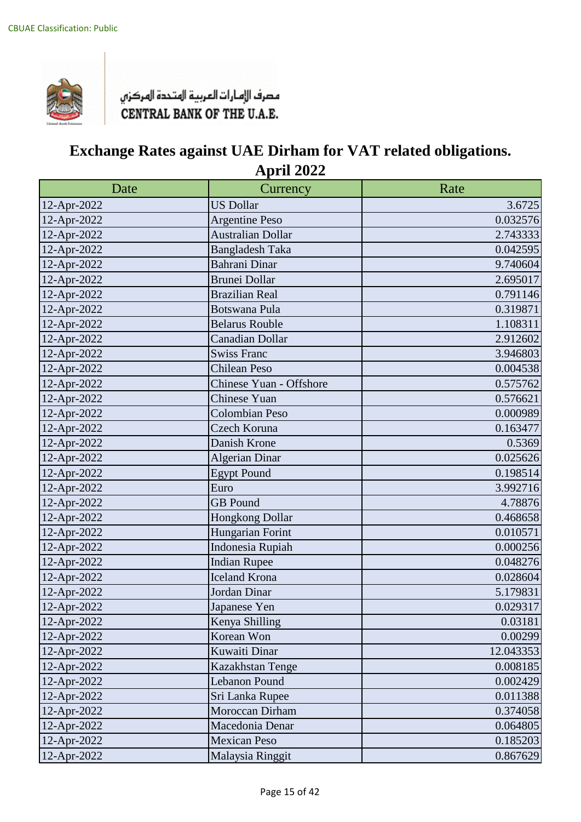

| Date        | Currency                 | Rate      |
|-------------|--------------------------|-----------|
| 12-Apr-2022 | <b>US Dollar</b>         | 3.6725    |
| 12-Apr-2022 | <b>Argentine Peso</b>    | 0.032576  |
| 12-Apr-2022 | <b>Australian Dollar</b> | 2.743333  |
| 12-Apr-2022 | <b>Bangladesh Taka</b>   | 0.042595  |
| 12-Apr-2022 | <b>Bahrani Dinar</b>     | 9.740604  |
| 12-Apr-2022 | <b>Brunei Dollar</b>     | 2.695017  |
| 12-Apr-2022 | <b>Brazilian Real</b>    | 0.791146  |
| 12-Apr-2022 | <b>Botswana Pula</b>     | 0.319871  |
| 12-Apr-2022 | <b>Belarus Rouble</b>    | 1.108311  |
| 12-Apr-2022 | <b>Canadian Dollar</b>   | 2.912602  |
| 12-Apr-2022 | <b>Swiss Franc</b>       | 3.946803  |
| 12-Apr-2022 | <b>Chilean Peso</b>      | 0.004538  |
| 12-Apr-2022 | Chinese Yuan - Offshore  | 0.575762  |
| 12-Apr-2022 | Chinese Yuan             | 0.576621  |
| 12-Apr-2022 | <b>Colombian Peso</b>    | 0.000989  |
| 12-Apr-2022 | Czech Koruna             | 0.163477  |
| 12-Apr-2022 | Danish Krone             | 0.5369    |
| 12-Apr-2022 | <b>Algerian Dinar</b>    | 0.025626  |
| 12-Apr-2022 | <b>Egypt Pound</b>       | 0.198514  |
| 12-Apr-2022 | Euro                     | 3.992716  |
| 12-Apr-2022 | <b>GB</b> Pound          | 4.78876   |
| 12-Apr-2022 | Hongkong Dollar          | 0.468658  |
| 12-Apr-2022 | Hungarian Forint         | 0.010571  |
| 12-Apr-2022 | Indonesia Rupiah         | 0.000256  |
| 12-Apr-2022 | <b>Indian Rupee</b>      | 0.048276  |
| 12-Apr-2022 | <b>Iceland Krona</b>     | 0.028604  |
| 12-Apr-2022 | Jordan Dinar             | 5.179831  |
| 12-Apr-2022 | Japanese Yen             | 0.029317  |
| 12-Apr-2022 | Kenya Shilling           | 0.03181   |
| 12-Apr-2022 | Korean Won               | 0.00299   |
| 12-Apr-2022 | Kuwaiti Dinar            | 12.043353 |
| 12-Apr-2022 | Kazakhstan Tenge         | 0.008185  |
| 12-Apr-2022 | Lebanon Pound            | 0.002429  |
| 12-Apr-2022 | Sri Lanka Rupee          | 0.011388  |
| 12-Apr-2022 | Moroccan Dirham          | 0.374058  |
| 12-Apr-2022 | Macedonia Denar          | 0.064805  |
| 12-Apr-2022 | <b>Mexican Peso</b>      | 0.185203  |
| 12-Apr-2022 | Malaysia Ringgit         | 0.867629  |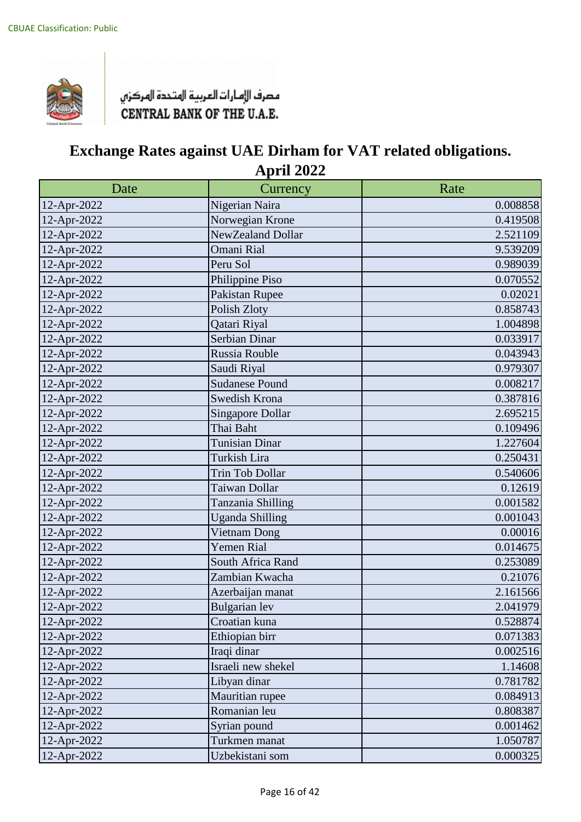

| Date        | Currency                | Rate     |
|-------------|-------------------------|----------|
| 12-Apr-2022 | Nigerian Naira          | 0.008858 |
| 12-Apr-2022 | Norwegian Krone         | 0.419508 |
| 12-Apr-2022 | NewZealand Dollar       | 2.521109 |
| 12-Apr-2022 | Omani Rial              | 9.539209 |
| 12-Apr-2022 | Peru Sol                | 0.989039 |
| 12-Apr-2022 | Philippine Piso         | 0.070552 |
| 12-Apr-2022 | Pakistan Rupee          | 0.02021  |
| 12-Apr-2022 | Polish Zloty            | 0.858743 |
| 12-Apr-2022 | Qatari Riyal            | 1.004898 |
| 12-Apr-2022 | Serbian Dinar           | 0.033917 |
| 12-Apr-2022 | Russia Rouble           | 0.043943 |
| 12-Apr-2022 | Saudi Riyal             | 0.979307 |
| 12-Apr-2022 | <b>Sudanese Pound</b>   | 0.008217 |
| 12-Apr-2022 | Swedish Krona           | 0.387816 |
| 12-Apr-2022 | <b>Singapore Dollar</b> | 2.695215 |
| 12-Apr-2022 | Thai Baht               | 0.109496 |
| 12-Apr-2022 | <b>Tunisian Dinar</b>   | 1.227604 |
| 12-Apr-2022 | Turkish Lira            | 0.250431 |
| 12-Apr-2022 | <b>Trin Tob Dollar</b>  | 0.540606 |
| 12-Apr-2022 | Taiwan Dollar           | 0.12619  |
| 12-Apr-2022 | Tanzania Shilling       | 0.001582 |
| 12-Apr-2022 | <b>Uganda Shilling</b>  | 0.001043 |
| 12-Apr-2022 | Vietnam Dong            | 0.00016  |
| 12-Apr-2022 | <b>Yemen Rial</b>       | 0.014675 |
| 12-Apr-2022 | South Africa Rand       | 0.253089 |
| 12-Apr-2022 | Zambian Kwacha          | 0.21076  |
| 12-Apr-2022 | Azerbaijan manat        | 2.161566 |
| 12-Apr-2022 | <b>Bulgarian</b> lev    | 2.041979 |
| 12-Apr-2022 | Croatian kuna           | 0.528874 |
| 12-Apr-2022 | Ethiopian birr          | 0.071383 |
| 12-Apr-2022 | Iraqi dinar             | 0.002516 |
| 12-Apr-2022 | Israeli new shekel      | 1.14608  |
| 12-Apr-2022 | Libyan dinar            | 0.781782 |
| 12-Apr-2022 | Mauritian rupee         | 0.084913 |
| 12-Apr-2022 | Romanian leu            | 0.808387 |
| 12-Apr-2022 | Syrian pound            | 0.001462 |
| 12-Apr-2022 | Turkmen manat           | 1.050787 |
| 12-Apr-2022 | Uzbekistani som         | 0.000325 |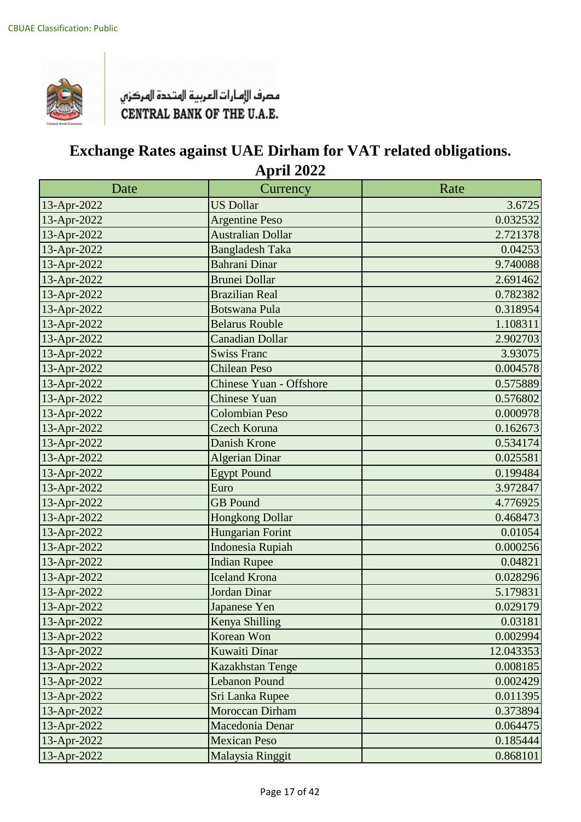

| Date        | Currency                       | Rate      |
|-------------|--------------------------------|-----------|
| 13-Apr-2022 | <b>US Dollar</b>               | 3.6725    |
| 13-Apr-2022 | <b>Argentine Peso</b>          | 0.032532  |
| 13-Apr-2022 | <b>Australian Dollar</b>       | 2.721378  |
| 13-Apr-2022 | <b>Bangladesh Taka</b>         | 0.04253   |
| 13-Apr-2022 | <b>Bahrani Dinar</b>           | 9.740088  |
| 13-Apr-2022 | <b>Brunei Dollar</b>           | 2.691462  |
| 13-Apr-2022 | <b>Brazilian Real</b>          | 0.782382  |
| 13-Apr-2022 | <b>Botswana Pula</b>           | 0.318954  |
| 13-Apr-2022 | <b>Belarus Rouble</b>          | 1.108311  |
| 13-Apr-2022 | <b>Canadian Dollar</b>         | 2.902703  |
| 13-Apr-2022 | <b>Swiss Franc</b>             | 3.93075   |
| 13-Apr-2022 | <b>Chilean Peso</b>            | 0.004578  |
| 13-Apr-2022 | <b>Chinese Yuan - Offshore</b> | 0.575889  |
| 13-Apr-2022 | <b>Chinese Yuan</b>            | 0.576802  |
| 13-Apr-2022 | <b>Colombian Peso</b>          | 0.000978  |
| 13-Apr-2022 | Czech Koruna                   | 0.162673  |
| 13-Apr-2022 | <b>Danish Krone</b>            | 0.534174  |
| 13-Apr-2022 | Algerian Dinar                 | 0.025581  |
| 13-Apr-2022 | <b>Egypt Pound</b>             | 0.199484  |
| 13-Apr-2022 | Euro                           | 3.972847  |
| 13-Apr-2022 | <b>GB</b> Pound                | 4.776925  |
| 13-Apr-2022 | <b>Hongkong Dollar</b>         | 0.468473  |
| 13-Apr-2022 | Hungarian Forint               | 0.01054   |
| 13-Apr-2022 | <b>Indonesia Rupiah</b>        | 0.000256  |
| 13-Apr-2022 | <b>Indian Rupee</b>            | 0.04821   |
| 13-Apr-2022 | <b>Iceland Krona</b>           | 0.028296  |
| 13-Apr-2022 | Jordan Dinar                   | 5.179831  |
| 13-Apr-2022 | Japanese Yen                   | 0.029179  |
| 13-Apr-2022 | Kenya Shilling                 | 0.03181   |
| 13-Apr-2022 | Korean Won                     | 0.002994  |
| 13-Apr-2022 | <b>Kuwaiti Dinar</b>           | 12.043353 |
| 13-Apr-2022 | <b>Kazakhstan Tenge</b>        | 0.008185  |
| 13-Apr-2022 | <b>Lebanon Pound</b>           | 0.002429  |
| 13-Apr-2022 | Sri Lanka Rupee                | 0.011395  |
| 13-Apr-2022 | Moroccan Dirham                | 0.373894  |
| 13-Apr-2022 | Macedonia Denar                | 0.064475  |
| 13-Apr-2022 | <b>Mexican Peso</b>            | 0.185444  |
| 13-Apr-2022 | Malaysia Ringgit               | 0.868101  |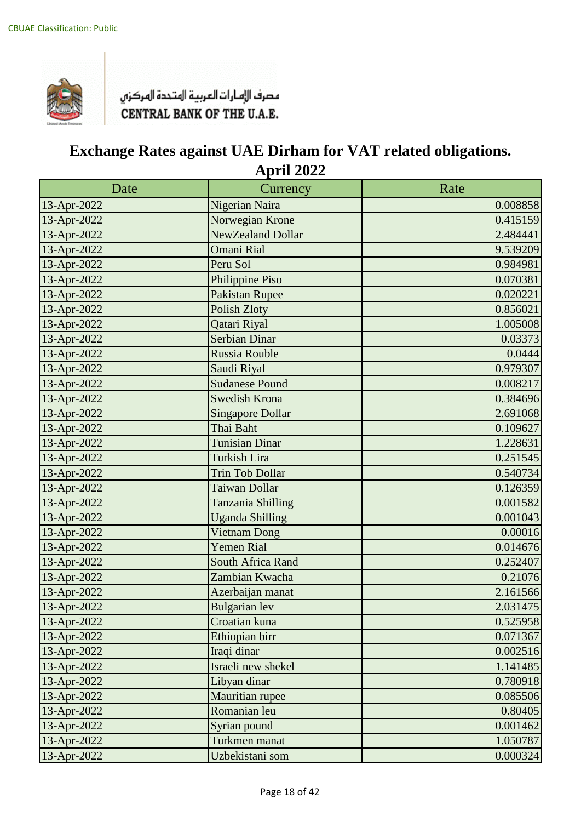

| Date        | Currency                 | Rate     |
|-------------|--------------------------|----------|
| 13-Apr-2022 | Nigerian Naira           | 0.008858 |
| 13-Apr-2022 | Norwegian Krone          | 0.415159 |
| 13-Apr-2022 | NewZealand Dollar        | 2.484441 |
| 13-Apr-2022 | <b>Omani Rial</b>        | 9.539209 |
| 13-Apr-2022 | Peru Sol                 | 0.984981 |
| 13-Apr-2022 | Philippine Piso          | 0.070381 |
| 13-Apr-2022 | <b>Pakistan Rupee</b>    | 0.020221 |
| 13-Apr-2022 | <b>Polish Zloty</b>      | 0.856021 |
| 13-Apr-2022 | Qatari Riyal             | 1.005008 |
| 13-Apr-2022 | <b>Serbian Dinar</b>     | 0.03373  |
| 13-Apr-2022 | Russia Rouble            | 0.0444   |
| 13-Apr-2022 | Saudi Riyal              | 0.979307 |
| 13-Apr-2022 | <b>Sudanese Pound</b>    | 0.008217 |
| 13-Apr-2022 | <b>Swedish Krona</b>     | 0.384696 |
| 13-Apr-2022 | <b>Singapore Dollar</b>  | 2.691068 |
| 13-Apr-2022 | Thai Baht                | 0.109627 |
| 13-Apr-2022 | <b>Tunisian Dinar</b>    | 1.228631 |
| 13-Apr-2022 | <b>Turkish Lira</b>      | 0.251545 |
| 13-Apr-2022 | <b>Trin Tob Dollar</b>   | 0.540734 |
| 13-Apr-2022 | Taiwan Dollar            | 0.126359 |
| 13-Apr-2022 | Tanzania Shilling        | 0.001582 |
| 13-Apr-2022 | <b>Uganda Shilling</b>   | 0.001043 |
| 13-Apr-2022 | Vietnam Dong             | 0.00016  |
| 13-Apr-2022 | <b>Yemen Rial</b>        | 0.014676 |
| 13-Apr-2022 | <b>South Africa Rand</b> | 0.252407 |
| 13-Apr-2022 | Zambian Kwacha           | 0.21076  |
| 13-Apr-2022 | Azerbaijan manat         | 2.161566 |
| 13-Apr-2022 | <b>Bulgarian</b> lev     | 2.031475 |
| 13-Apr-2022 | Croatian kuna            | 0.525958 |
| 13-Apr-2022 | Ethiopian birr           | 0.071367 |
| 13-Apr-2022 | Iraqi dinar              | 0.002516 |
| 13-Apr-2022 | Israeli new shekel       | 1.141485 |
| 13-Apr-2022 | Libyan dinar             | 0.780918 |
| 13-Apr-2022 | Mauritian rupee          | 0.085506 |
| 13-Apr-2022 | Romanian leu             | 0.80405  |
| 13-Apr-2022 | Syrian pound             | 0.001462 |
| 13-Apr-2022 | Turkmen manat            | 1.050787 |
| 13-Apr-2022 | Uzbekistani som          | 0.000324 |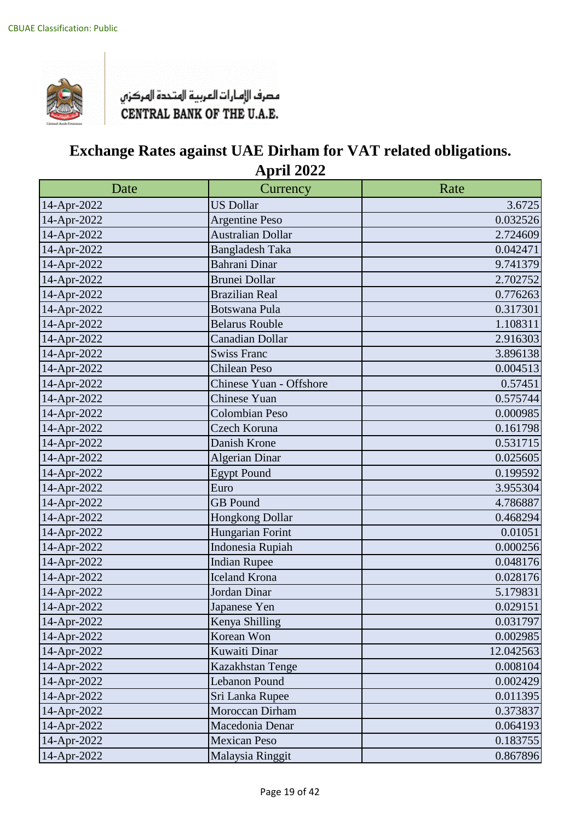

| Date        | Currency                 | Rate      |
|-------------|--------------------------|-----------|
| 14-Apr-2022 | <b>US Dollar</b>         | 3.6725    |
| 14-Apr-2022 | <b>Argentine Peso</b>    | 0.032526  |
| 14-Apr-2022 | <b>Australian Dollar</b> | 2.724609  |
| 14-Apr-2022 | <b>Bangladesh Taka</b>   | 0.042471  |
| 14-Apr-2022 | <b>Bahrani Dinar</b>     | 9.741379  |
| 14-Apr-2022 | <b>Brunei Dollar</b>     | 2.702752  |
| 14-Apr-2022 | <b>Brazilian Real</b>    | 0.776263  |
| 14-Apr-2022 | <b>Botswana Pula</b>     | 0.317301  |
| 14-Apr-2022 | <b>Belarus Rouble</b>    | 1.108311  |
| 14-Apr-2022 | <b>Canadian Dollar</b>   | 2.916303  |
| 14-Apr-2022 | <b>Swiss Franc</b>       | 3.896138  |
| 14-Apr-2022 | <b>Chilean Peso</b>      | 0.004513  |
| 14-Apr-2022 | Chinese Yuan - Offshore  | 0.57451   |
| 14-Apr-2022 | <b>Chinese Yuan</b>      | 0.575744  |
| 14-Apr-2022 | Colombian Peso           | 0.000985  |
| 14-Apr-2022 | Czech Koruna             | 0.161798  |
| 14-Apr-2022 | Danish Krone             | 0.531715  |
| 14-Apr-2022 | <b>Algerian Dinar</b>    | 0.025605  |
| 14-Apr-2022 | <b>Egypt Pound</b>       | 0.199592  |
| 14-Apr-2022 | Euro                     | 3.955304  |
| 14-Apr-2022 | <b>GB</b> Pound          | 4.786887  |
| 14-Apr-2022 | <b>Hongkong Dollar</b>   | 0.468294  |
| 14-Apr-2022 | Hungarian Forint         | 0.01051   |
| 14-Apr-2022 | Indonesia Rupiah         | 0.000256  |
| 14-Apr-2022 | <b>Indian Rupee</b>      | 0.048176  |
| 14-Apr-2022 | <b>Iceland Krona</b>     | 0.028176  |
| 14-Apr-2022 | Jordan Dinar             | 5.179831  |
| 14-Apr-2022 | Japanese Yen             | 0.029151  |
| 14-Apr-2022 | Kenya Shilling           | 0.031797  |
| 14-Apr-2022 | Korean Won               | 0.002985  |
| 14-Apr-2022 | Kuwaiti Dinar            | 12.042563 |
| 14-Apr-2022 | Kazakhstan Tenge         | 0.008104  |
| 14-Apr-2022 | Lebanon Pound            | 0.002429  |
| 14-Apr-2022 | Sri Lanka Rupee          | 0.011395  |
| 14-Apr-2022 | Moroccan Dirham          | 0.373837  |
| 14-Apr-2022 | Macedonia Denar          | 0.064193  |
| 14-Apr-2022 | <b>Mexican Peso</b>      | 0.183755  |
| 14-Apr-2022 | Malaysia Ringgit         | 0.867896  |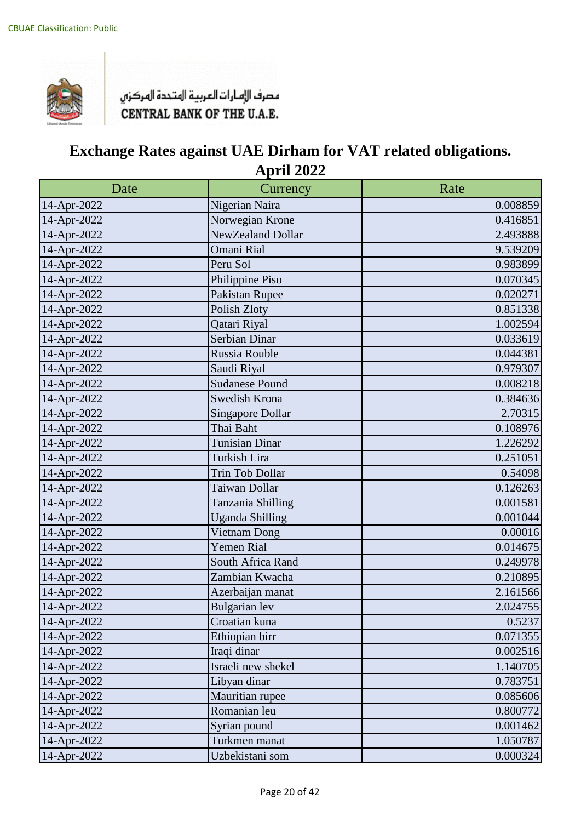

| Date        | Currency                | Rate     |
|-------------|-------------------------|----------|
| 14-Apr-2022 | Nigerian Naira          | 0.008859 |
| 14-Apr-2022 | Norwegian Krone         | 0.416851 |
| 14-Apr-2022 | NewZealand Dollar       | 2.493888 |
| 14-Apr-2022 | <b>Omani Rial</b>       | 9.539209 |
| 14-Apr-2022 | Peru Sol                | 0.983899 |
| 14-Apr-2022 | Philippine Piso         | 0.070345 |
| 14-Apr-2022 | Pakistan Rupee          | 0.020271 |
| 14-Apr-2022 | Polish Zloty            | 0.851338 |
| 14-Apr-2022 | Qatari Riyal            | 1.002594 |
| 14-Apr-2022 | Serbian Dinar           | 0.033619 |
| 14-Apr-2022 | Russia Rouble           | 0.044381 |
| 14-Apr-2022 | Saudi Riyal             | 0.979307 |
| 14-Apr-2022 | <b>Sudanese Pound</b>   | 0.008218 |
| 14-Apr-2022 | Swedish Krona           | 0.384636 |
| 14-Apr-2022 | <b>Singapore Dollar</b> | 2.70315  |
| 14-Apr-2022 | Thai Baht               | 0.108976 |
| 14-Apr-2022 | Tunisian Dinar          | 1.226292 |
| 14-Apr-2022 | Turkish Lira            | 0.251051 |
| 14-Apr-2022 | Trin Tob Dollar         | 0.54098  |
| 14-Apr-2022 | Taiwan Dollar           | 0.126263 |
| 14-Apr-2022 | Tanzania Shilling       | 0.001581 |
| 14-Apr-2022 | <b>Uganda Shilling</b>  | 0.001044 |
| 14-Apr-2022 | Vietnam Dong            | 0.00016  |
| 14-Apr-2022 | Yemen Rial              | 0.014675 |
| 14-Apr-2022 | South Africa Rand       | 0.249978 |
| 14-Apr-2022 | Zambian Kwacha          | 0.210895 |
| 14-Apr-2022 | Azerbaijan manat        | 2.161566 |
| 14-Apr-2022 | Bulgarian lev           | 2.024755 |
| 14-Apr-2022 | Croatian kuna           | 0.5237   |
| 14-Apr-2022 | Ethiopian birr          | 0.071355 |
| 14-Apr-2022 | Iraqi dinar             | 0.002516 |
| 14-Apr-2022 | Israeli new shekel      | 1.140705 |
| 14-Apr-2022 | Libyan dinar            | 0.783751 |
| 14-Apr-2022 | Mauritian rupee         | 0.085606 |
| 14-Apr-2022 | Romanian leu            | 0.800772 |
| 14-Apr-2022 | Syrian pound            | 0.001462 |
| 14-Apr-2022 | Turkmen manat           | 1.050787 |
| 14-Apr-2022 | Uzbekistani som         | 0.000324 |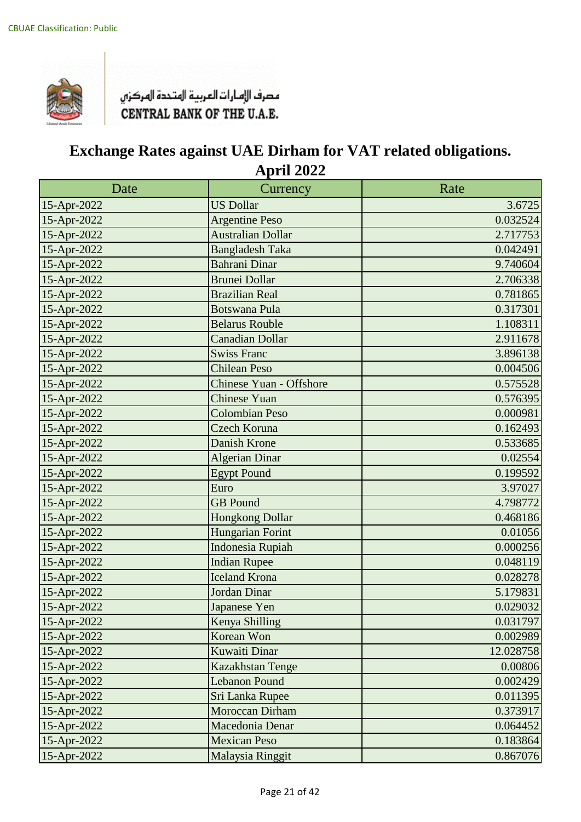

| Date        | Currency                       | Rate      |
|-------------|--------------------------------|-----------|
| 15-Apr-2022 | <b>US Dollar</b>               | 3.6725    |
| 15-Apr-2022 | <b>Argentine Peso</b>          | 0.032524  |
| 15-Apr-2022 | <b>Australian Dollar</b>       | 2.717753  |
| 15-Apr-2022 | <b>Bangladesh Taka</b>         | 0.042491  |
| 15-Apr-2022 | Bahrani Dinar                  | 9.740604  |
| 15-Apr-2022 | <b>Brunei Dollar</b>           | 2.706338  |
| 15-Apr-2022 | <b>Brazilian Real</b>          | 0.781865  |
| 15-Apr-2022 | <b>Botswana Pula</b>           | 0.317301  |
| 15-Apr-2022 | <b>Belarus Rouble</b>          | 1.108311  |
| 15-Apr-2022 | <b>Canadian Dollar</b>         | 2.911678  |
| 15-Apr-2022 | <b>Swiss Franc</b>             | 3.896138  |
| 15-Apr-2022 | <b>Chilean Peso</b>            | 0.004506  |
| 15-Apr-2022 | <b>Chinese Yuan - Offshore</b> | 0.575528  |
| 15-Apr-2022 | <b>Chinese Yuan</b>            | 0.576395  |
| 15-Apr-2022 | <b>Colombian Peso</b>          | 0.000981  |
| 15-Apr-2022 | <b>Czech Koruna</b>            | 0.162493  |
| 15-Apr-2022 | Danish Krone                   | 0.533685  |
| 15-Apr-2022 | Algerian Dinar                 | 0.02554   |
| 15-Apr-2022 | <b>Egypt Pound</b>             | 0.199592  |
| 15-Apr-2022 | Euro                           | 3.97027   |
| 15-Apr-2022 | <b>GB</b> Pound                | 4.798772  |
| 15-Apr-2022 | <b>Hongkong Dollar</b>         | 0.468186  |
| 15-Apr-2022 | Hungarian Forint               | 0.01056   |
| 15-Apr-2022 | Indonesia Rupiah               | 0.000256  |
| 15-Apr-2022 | <b>Indian Rupee</b>            | 0.048119  |
| 15-Apr-2022 | <b>Iceland Krona</b>           | 0.028278  |
| 15-Apr-2022 | Jordan Dinar                   | 5.179831  |
| 15-Apr-2022 | Japanese Yen                   | 0.029032  |
| 15-Apr-2022 | Kenya Shilling                 | 0.031797  |
| 15-Apr-2022 | Korean Won                     | 0.002989  |
| 15-Apr-2022 | <b>Kuwaiti Dinar</b>           | 12.028758 |
| 15-Apr-2022 | Kazakhstan Tenge               | 0.00806   |
| 15-Apr-2022 | <b>Lebanon Pound</b>           | 0.002429  |
| 15-Apr-2022 | Sri Lanka Rupee                | 0.011395  |
| 15-Apr-2022 | Moroccan Dirham                | 0.373917  |
| 15-Apr-2022 | Macedonia Denar                | 0.064452  |
| 15-Apr-2022 | <b>Mexican Peso</b>            | 0.183864  |
| 15-Apr-2022 | Malaysia Ringgit               | 0.867076  |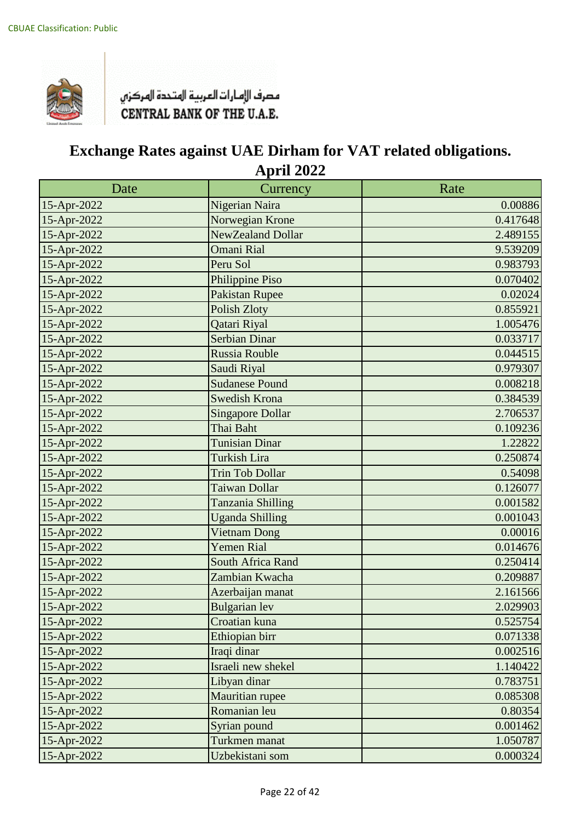

| Date        | Currency                | Rate     |
|-------------|-------------------------|----------|
| 15-Apr-2022 | Nigerian Naira          | 0.00886  |
| 15-Apr-2022 | Norwegian Krone         | 0.417648 |
| 15-Apr-2022 | NewZealand Dollar       | 2.489155 |
| 15-Apr-2022 | <b>Omani Rial</b>       | 9.539209 |
| 15-Apr-2022 | Peru Sol                | 0.983793 |
| 15-Apr-2022 | Philippine Piso         | 0.070402 |
| 15-Apr-2022 | <b>Pakistan Rupee</b>   | 0.02024  |
| 15-Apr-2022 | <b>Polish Zloty</b>     | 0.855921 |
| 15-Apr-2022 | Qatari Riyal            | 1.005476 |
| 15-Apr-2022 | <b>Serbian Dinar</b>    | 0.033717 |
| 15-Apr-2022 | Russia Rouble           | 0.044515 |
| 15-Apr-2022 | Saudi Riyal             | 0.979307 |
| 15-Apr-2022 | <b>Sudanese Pound</b>   | 0.008218 |
| 15-Apr-2022 | <b>Swedish Krona</b>    | 0.384539 |
| 15-Apr-2022 | <b>Singapore Dollar</b> | 2.706537 |
| 15-Apr-2022 | Thai Baht               | 0.109236 |
| 15-Apr-2022 | <b>Tunisian Dinar</b>   | 1.22822  |
| 15-Apr-2022 | <b>Turkish Lira</b>     | 0.250874 |
| 15-Apr-2022 | <b>Trin Tob Dollar</b>  | 0.54098  |
| 15-Apr-2022 | Taiwan Dollar           | 0.126077 |
| 15-Apr-2022 | Tanzania Shilling       | 0.001582 |
| 15-Apr-2022 | <b>Uganda Shilling</b>  | 0.001043 |
| 15-Apr-2022 | <b>Vietnam Dong</b>     | 0.00016  |
| 15-Apr-2022 | <b>Yemen Rial</b>       | 0.014676 |
| 15-Apr-2022 | South Africa Rand       | 0.250414 |
| 15-Apr-2022 | Zambian Kwacha          | 0.209887 |
| 15-Apr-2022 | Azerbaijan manat        | 2.161566 |
| 15-Apr-2022 | <b>Bulgarian</b> lev    | 2.029903 |
| 15-Apr-2022 | Croatian kuna           | 0.525754 |
| 15-Apr-2022 | Ethiopian birr          | 0.071338 |
| 15-Apr-2022 | Iraqi dinar             | 0.002516 |
| 15-Apr-2022 | Israeli new shekel      | 1.140422 |
| 15-Apr-2022 | Libyan dinar            | 0.783751 |
| 15-Apr-2022 | Mauritian rupee         | 0.085308 |
| 15-Apr-2022 | Romanian leu            | 0.80354  |
| 15-Apr-2022 | Syrian pound            | 0.001462 |
| 15-Apr-2022 | Turkmen manat           | 1.050787 |
| 15-Apr-2022 | Uzbekistani som         | 0.000324 |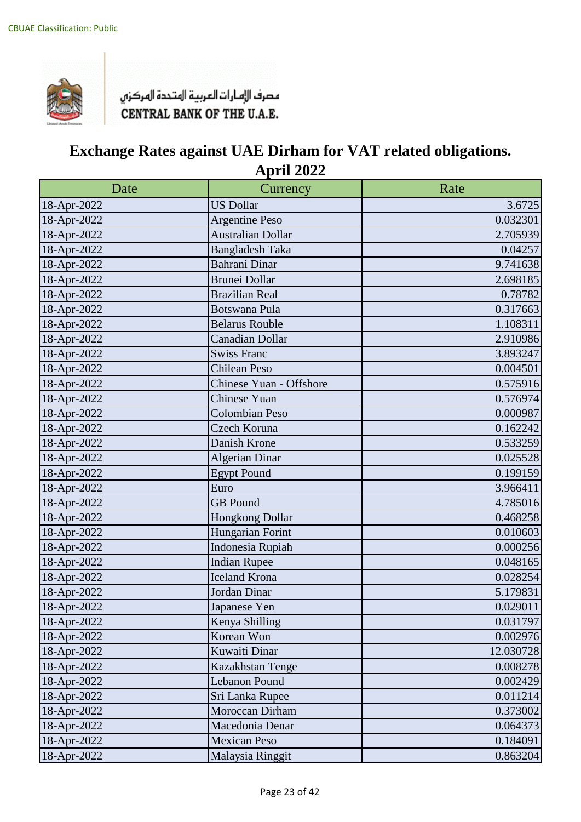

| Date        | Currency                 | Rate      |
|-------------|--------------------------|-----------|
| 18-Apr-2022 | <b>US Dollar</b>         | 3.6725    |
| 18-Apr-2022 | <b>Argentine Peso</b>    | 0.032301  |
| 18-Apr-2022 | <b>Australian Dollar</b> | 2.705939  |
| 18-Apr-2022 | <b>Bangladesh Taka</b>   | 0.04257   |
| 18-Apr-2022 | Bahrani Dinar            | 9.741638  |
| 18-Apr-2022 | <b>Brunei Dollar</b>     | 2.698185  |
| 18-Apr-2022 | <b>Brazilian Real</b>    | 0.78782   |
| 18-Apr-2022 | <b>Botswana Pula</b>     | 0.317663  |
| 18-Apr-2022 | <b>Belarus Rouble</b>    | 1.108311  |
| 18-Apr-2022 | <b>Canadian Dollar</b>   | 2.910986  |
| 18-Apr-2022 | <b>Swiss Franc</b>       | 3.893247  |
| 18-Apr-2022 | <b>Chilean Peso</b>      | 0.004501  |
| 18-Apr-2022 | Chinese Yuan - Offshore  | 0.575916  |
| 18-Apr-2022 | Chinese Yuan             | 0.576974  |
| 18-Apr-2022 | <b>Colombian Peso</b>    | 0.000987  |
| 18-Apr-2022 | Czech Koruna             | 0.162242  |
| 18-Apr-2022 | Danish Krone             | 0.533259  |
| 18-Apr-2022 | <b>Algerian Dinar</b>    | 0.025528  |
| 18-Apr-2022 | <b>Egypt Pound</b>       | 0.199159  |
| 18-Apr-2022 | Euro                     | 3.966411  |
| 18-Apr-2022 | <b>GB</b> Pound          | 4.785016  |
| 18-Apr-2022 | Hongkong Dollar          | 0.468258  |
| 18-Apr-2022 | Hungarian Forint         | 0.010603  |
| 18-Apr-2022 | Indonesia Rupiah         | 0.000256  |
| 18-Apr-2022 | <b>Indian Rupee</b>      | 0.048165  |
| 18-Apr-2022 | <b>Iceland Krona</b>     | 0.028254  |
| 18-Apr-2022 | Jordan Dinar             | 5.179831  |
| 18-Apr-2022 | Japanese Yen             | 0.029011  |
| 18-Apr-2022 | Kenya Shilling           | 0.031797  |
| 18-Apr-2022 | Korean Won               | 0.002976  |
| 18-Apr-2022 | Kuwaiti Dinar            | 12.030728 |
| 18-Apr-2022 | Kazakhstan Tenge         | 0.008278  |
| 18-Apr-2022 | Lebanon Pound            | 0.002429  |
| 18-Apr-2022 | Sri Lanka Rupee          | 0.011214  |
| 18-Apr-2022 | Moroccan Dirham          | 0.373002  |
| 18-Apr-2022 | Macedonia Denar          | 0.064373  |
| 18-Apr-2022 | <b>Mexican Peso</b>      | 0.184091  |
| 18-Apr-2022 | Malaysia Ringgit         | 0.863204  |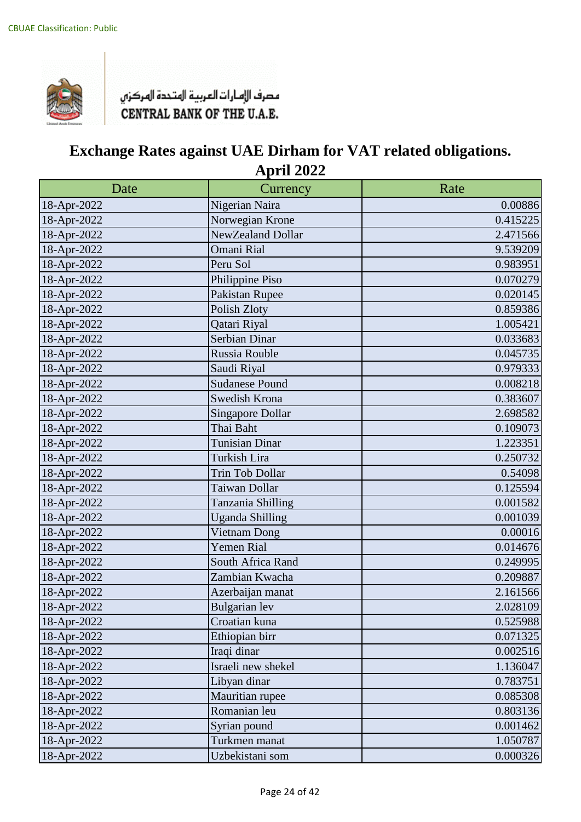

| Date        | Currency                | Rate     |
|-------------|-------------------------|----------|
| 18-Apr-2022 | Nigerian Naira          | 0.00886  |
| 18-Apr-2022 | Norwegian Krone         | 0.415225 |
| 18-Apr-2022 | NewZealand Dollar       | 2.471566 |
| 18-Apr-2022 | Omani Rial              | 9.539209 |
| 18-Apr-2022 | Peru Sol                | 0.983951 |
| 18-Apr-2022 | Philippine Piso         | 0.070279 |
| 18-Apr-2022 | Pakistan Rupee          | 0.020145 |
| 18-Apr-2022 | Polish Zloty            | 0.859386 |
| 18-Apr-2022 | Qatari Riyal            | 1.005421 |
| 18-Apr-2022 | Serbian Dinar           | 0.033683 |
| 18-Apr-2022 | Russia Rouble           | 0.045735 |
| 18-Apr-2022 | Saudi Riyal             | 0.979333 |
| 18-Apr-2022 | <b>Sudanese Pound</b>   | 0.008218 |
| 18-Apr-2022 | Swedish Krona           | 0.383607 |
| 18-Apr-2022 | <b>Singapore Dollar</b> | 2.698582 |
| 18-Apr-2022 | Thai Baht               | 0.109073 |
| 18-Apr-2022 | <b>Tunisian Dinar</b>   | 1.223351 |
| 18-Apr-2022 | Turkish Lira            | 0.250732 |
| 18-Apr-2022 | Trin Tob Dollar         | 0.54098  |
| 18-Apr-2022 | Taiwan Dollar           | 0.125594 |
| 18-Apr-2022 | Tanzania Shilling       | 0.001582 |
| 18-Apr-2022 | <b>Uganda Shilling</b>  | 0.001039 |
| 18-Apr-2022 | Vietnam Dong            | 0.00016  |
| 18-Apr-2022 | <b>Yemen Rial</b>       | 0.014676 |
| 18-Apr-2022 | South Africa Rand       | 0.249995 |
| 18-Apr-2022 | Zambian Kwacha          | 0.209887 |
| 18-Apr-2022 | Azerbaijan manat        | 2.161566 |
| 18-Apr-2022 | Bulgarian lev           | 2.028109 |
| 18-Apr-2022 | Croatian kuna           | 0.525988 |
| 18-Apr-2022 | Ethiopian birr          | 0.071325 |
| 18-Apr-2022 | Iraqi dinar             | 0.002516 |
| 18-Apr-2022 | Israeli new shekel      | 1.136047 |
| 18-Apr-2022 | Libyan dinar            | 0.783751 |
| 18-Apr-2022 | Mauritian rupee         | 0.085308 |
| 18-Apr-2022 | Romanian leu            | 0.803136 |
| 18-Apr-2022 | Syrian pound            | 0.001462 |
| 18-Apr-2022 | Turkmen manat           | 1.050787 |
| 18-Apr-2022 | Uzbekistani som         | 0.000326 |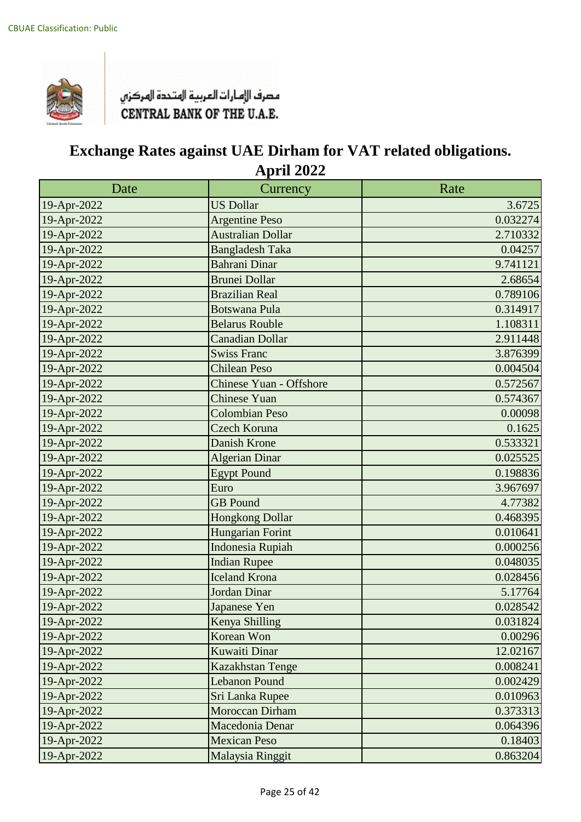

| Date        | Currency                       | Rate     |
|-------------|--------------------------------|----------|
| 19-Apr-2022 | <b>US Dollar</b>               | 3.6725   |
| 19-Apr-2022 | <b>Argentine Peso</b>          | 0.032274 |
| 19-Apr-2022 | <b>Australian Dollar</b>       | 2.710332 |
| 19-Apr-2022 | <b>Bangladesh Taka</b>         | 0.04257  |
| 19-Apr-2022 | <b>Bahrani Dinar</b>           | 9.741121 |
| 19-Apr-2022 | <b>Brunei Dollar</b>           | 2.68654  |
| 19-Apr-2022 | <b>Brazilian Real</b>          | 0.789106 |
| 19-Apr-2022 | <b>Botswana Pula</b>           | 0.314917 |
| 19-Apr-2022 | <b>Belarus Rouble</b>          | 1.108311 |
| 19-Apr-2022 | <b>Canadian Dollar</b>         | 2.911448 |
| 19-Apr-2022 | <b>Swiss Franc</b>             | 3.876399 |
| 19-Apr-2022 | <b>Chilean Peso</b>            | 0.004504 |
| 19-Apr-2022 | <b>Chinese Yuan - Offshore</b> | 0.572567 |
| 19-Apr-2022 | <b>Chinese Yuan</b>            | 0.574367 |
| 19-Apr-2022 | <b>Colombian Peso</b>          | 0.00098  |
| 19-Apr-2022 | Czech Koruna                   | 0.1625   |
| 19-Apr-2022 | <b>Danish Krone</b>            | 0.533321 |
| 19-Apr-2022 | <b>Algerian Dinar</b>          | 0.025525 |
| 19-Apr-2022 | <b>Egypt Pound</b>             | 0.198836 |
| 19-Apr-2022 | Euro                           | 3.967697 |
| 19-Apr-2022 | <b>GB</b> Pound                | 4.77382  |
| 19-Apr-2022 | <b>Hongkong Dollar</b>         | 0.468395 |
| 19-Apr-2022 | Hungarian Forint               | 0.010641 |
| 19-Apr-2022 | <b>Indonesia Rupiah</b>        | 0.000256 |
| 19-Apr-2022 | <b>Indian Rupee</b>            | 0.048035 |
| 19-Apr-2022 | <b>Iceland Krona</b>           | 0.028456 |
| 19-Apr-2022 | <b>Jordan Dinar</b>            | 5.17764  |
| 19-Apr-2022 | Japanese Yen                   | 0.028542 |
| 19-Apr-2022 | Kenya Shilling                 | 0.031824 |
| 19-Apr-2022 | Korean Won                     | 0.00296  |
| 19-Apr-2022 | <b>Kuwaiti Dinar</b>           | 12.02167 |
| 19-Apr-2022 | Kazakhstan Tenge               | 0.008241 |
| 19-Apr-2022 | <b>Lebanon Pound</b>           | 0.002429 |
| 19-Apr-2022 | Sri Lanka Rupee                | 0.010963 |
| 19-Apr-2022 | <b>Moroccan Dirham</b>         | 0.373313 |
| 19-Apr-2022 | Macedonia Denar                | 0.064396 |
| 19-Apr-2022 | <b>Mexican Peso</b>            | 0.18403  |
| 19-Apr-2022 | Malaysia Ringgit               | 0.863204 |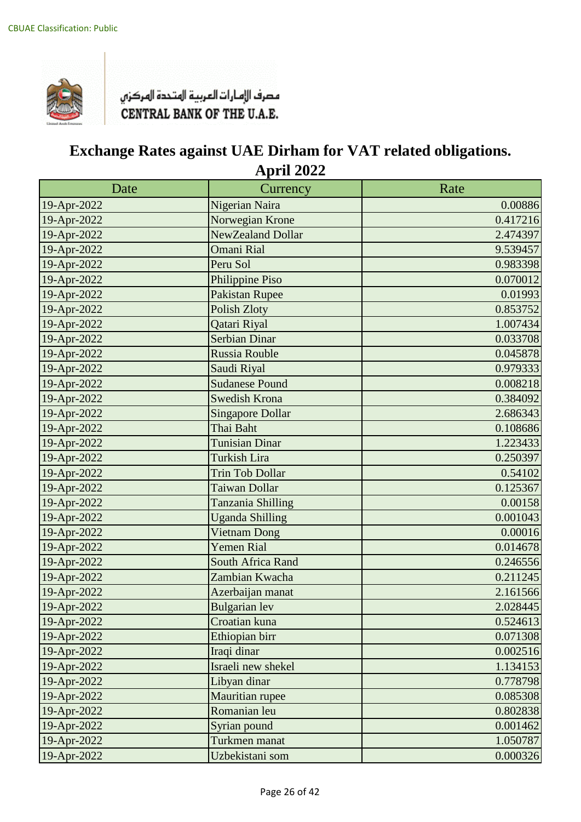

| Date        | Currency                | Rate     |
|-------------|-------------------------|----------|
| 19-Apr-2022 | Nigerian Naira          | 0.00886  |
| 19-Apr-2022 | Norwegian Krone         | 0.417216 |
| 19-Apr-2022 | NewZealand Dollar       | 2.474397 |
| 19-Apr-2022 | <b>Omani Rial</b>       | 9.539457 |
| 19-Apr-2022 | Peru Sol                | 0.983398 |
| 19-Apr-2022 | Philippine Piso         | 0.070012 |
| 19-Apr-2022 | <b>Pakistan Rupee</b>   | 0.01993  |
| 19-Apr-2022 | <b>Polish Zloty</b>     | 0.853752 |
| 19-Apr-2022 | Qatari Riyal            | 1.007434 |
| 19-Apr-2022 | <b>Serbian Dinar</b>    | 0.033708 |
| 19-Apr-2022 | Russia Rouble           | 0.045878 |
| 19-Apr-2022 | Saudi Riyal             | 0.979333 |
| 19-Apr-2022 | <b>Sudanese Pound</b>   | 0.008218 |
| 19-Apr-2022 | <b>Swedish Krona</b>    | 0.384092 |
| 19-Apr-2022 | <b>Singapore Dollar</b> | 2.686343 |
| 19-Apr-2022 | Thai Baht               | 0.108686 |
| 19-Apr-2022 | <b>Tunisian Dinar</b>   | 1.223433 |
| 19-Apr-2022 | <b>Turkish Lira</b>     | 0.250397 |
| 19-Apr-2022 | <b>Trin Tob Dollar</b>  | 0.54102  |
| 19-Apr-2022 | Taiwan Dollar           | 0.125367 |
| 19-Apr-2022 | Tanzania Shilling       | 0.00158  |
| 19-Apr-2022 | <b>Uganda Shilling</b>  | 0.001043 |
| 19-Apr-2022 | <b>Vietnam Dong</b>     | 0.00016  |
| 19-Apr-2022 | <b>Yemen Rial</b>       | 0.014678 |
| 19-Apr-2022 | South Africa Rand       | 0.246556 |
| 19-Apr-2022 | Zambian Kwacha          | 0.211245 |
| 19-Apr-2022 | Azerbaijan manat        | 2.161566 |
| 19-Apr-2022 | <b>Bulgarian</b> lev    | 2.028445 |
| 19-Apr-2022 | Croatian kuna           | 0.524613 |
| 19-Apr-2022 | Ethiopian birr          | 0.071308 |
| 19-Apr-2022 | Iraqi dinar             | 0.002516 |
| 19-Apr-2022 | Israeli new shekel      | 1.134153 |
| 19-Apr-2022 | Libyan dinar            | 0.778798 |
| 19-Apr-2022 | Mauritian rupee         | 0.085308 |
| 19-Apr-2022 | Romanian leu            | 0.802838 |
| 19-Apr-2022 | Syrian pound            | 0.001462 |
| 19-Apr-2022 | Turkmen manat           | 1.050787 |
| 19-Apr-2022 | Uzbekistani som         | 0.000326 |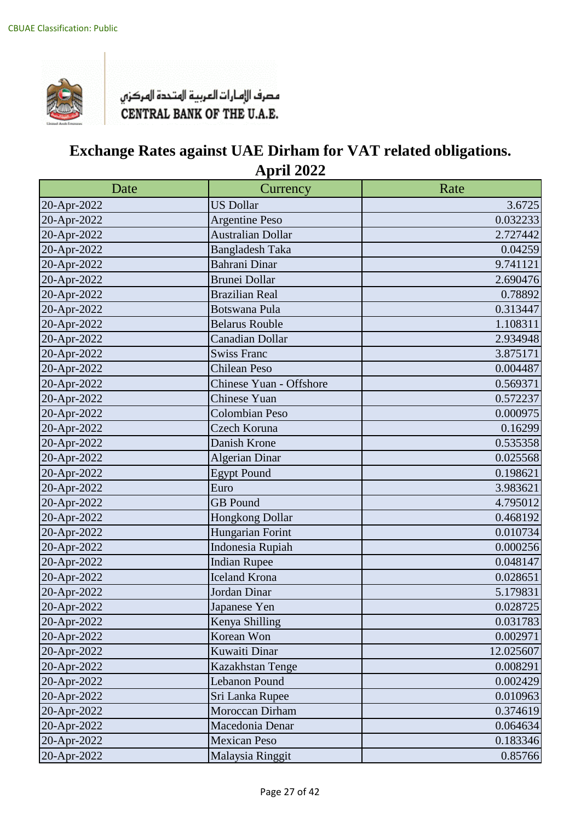

| Date        | Currency                 | Rate      |
|-------------|--------------------------|-----------|
| 20-Apr-2022 | <b>US Dollar</b>         | 3.6725    |
| 20-Apr-2022 | <b>Argentine Peso</b>    | 0.032233  |
| 20-Apr-2022 | <b>Australian Dollar</b> | 2.727442  |
| 20-Apr-2022 | <b>Bangladesh Taka</b>   | 0.04259   |
| 20-Apr-2022 | Bahrani Dinar            | 9.741121  |
| 20-Apr-2022 | <b>Brunei Dollar</b>     | 2.690476  |
| 20-Apr-2022 | <b>Brazilian Real</b>    | 0.78892   |
| 20-Apr-2022 | <b>Botswana Pula</b>     | 0.313447  |
| 20-Apr-2022 | <b>Belarus Rouble</b>    | 1.108311  |
| 20-Apr-2022 | <b>Canadian Dollar</b>   | 2.934948  |
| 20-Apr-2022 | <b>Swiss Franc</b>       | 3.875171  |
| 20-Apr-2022 | <b>Chilean Peso</b>      | 0.004487  |
| 20-Apr-2022 | Chinese Yuan - Offshore  | 0.569371  |
| 20-Apr-2022 | <b>Chinese Yuan</b>      | 0.572237  |
| 20-Apr-2022 | <b>Colombian Peso</b>    | 0.000975  |
| 20-Apr-2022 | Czech Koruna             | 0.16299   |
| 20-Apr-2022 | Danish Krone             | 0.535358  |
| 20-Apr-2022 | <b>Algerian Dinar</b>    | 0.025568  |
| 20-Apr-2022 | <b>Egypt Pound</b>       | 0.198621  |
| 20-Apr-2022 | Euro                     | 3.983621  |
| 20-Apr-2022 | <b>GB</b> Pound          | 4.795012  |
| 20-Apr-2022 | Hongkong Dollar          | 0.468192  |
| 20-Apr-2022 | Hungarian Forint         | 0.010734  |
| 20-Apr-2022 | Indonesia Rupiah         | 0.000256  |
| 20-Apr-2022 | <b>Indian Rupee</b>      | 0.048147  |
| 20-Apr-2022 | <b>Iceland Krona</b>     | 0.028651  |
| 20-Apr-2022 | Jordan Dinar             | 5.179831  |
| 20-Apr-2022 | Japanese Yen             | 0.028725  |
| 20-Apr-2022 | Kenya Shilling           | 0.031783  |
| 20-Apr-2022 | Korean Won               | 0.002971  |
| 20-Apr-2022 | Kuwaiti Dinar            | 12.025607 |
| 20-Apr-2022 | Kazakhstan Tenge         | 0.008291  |
| 20-Apr-2022 | Lebanon Pound            | 0.002429  |
| 20-Apr-2022 | Sri Lanka Rupee          | 0.010963  |
| 20-Apr-2022 | Moroccan Dirham          | 0.374619  |
| 20-Apr-2022 | Macedonia Denar          | 0.064634  |
| 20-Apr-2022 | <b>Mexican Peso</b>      | 0.183346  |
| 20-Apr-2022 | Malaysia Ringgit         | 0.85766   |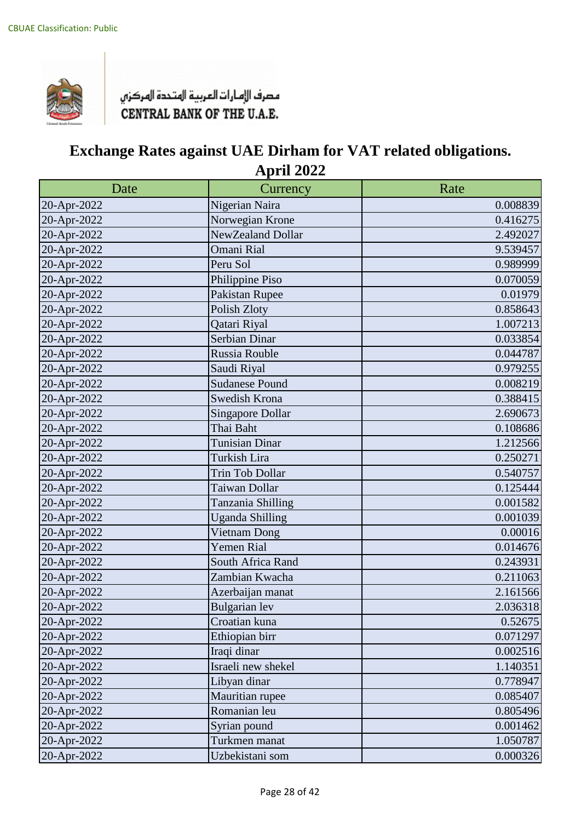

| Date        | Currency                | Rate     |
|-------------|-------------------------|----------|
| 20-Apr-2022 | Nigerian Naira          | 0.008839 |
| 20-Apr-2022 | Norwegian Krone         | 0.416275 |
| 20-Apr-2022 | NewZealand Dollar       | 2.492027 |
| 20-Apr-2022 | <b>Omani Rial</b>       | 9.539457 |
| 20-Apr-2022 | Peru Sol                | 0.989999 |
| 20-Apr-2022 | Philippine Piso         | 0.070059 |
| 20-Apr-2022 | Pakistan Rupee          | 0.01979  |
| 20-Apr-2022 | Polish Zloty            | 0.858643 |
| 20-Apr-2022 | Qatari Riyal            | 1.007213 |
| 20-Apr-2022 | Serbian Dinar           | 0.033854 |
| 20-Apr-2022 | Russia Rouble           | 0.044787 |
| 20-Apr-2022 | Saudi Riyal             | 0.979255 |
| 20-Apr-2022 | <b>Sudanese Pound</b>   | 0.008219 |
| 20-Apr-2022 | Swedish Krona           | 0.388415 |
| 20-Apr-2022 | <b>Singapore Dollar</b> | 2.690673 |
| 20-Apr-2022 | Thai Baht               | 0.108686 |
| 20-Apr-2022 | <b>Tunisian Dinar</b>   | 1.212566 |
| 20-Apr-2022 | Turkish Lira            | 0.250271 |
| 20-Apr-2022 | Trin Tob Dollar         | 0.540757 |
| 20-Apr-2022 | Taiwan Dollar           | 0.125444 |
| 20-Apr-2022 | Tanzania Shilling       | 0.001582 |
| 20-Apr-2022 | <b>Uganda Shilling</b>  | 0.001039 |
| 20-Apr-2022 | Vietnam Dong            | 0.00016  |
| 20-Apr-2022 | <b>Yemen Rial</b>       | 0.014676 |
| 20-Apr-2022 | South Africa Rand       | 0.243931 |
| 20-Apr-2022 | Zambian Kwacha          | 0.211063 |
| 20-Apr-2022 | Azerbaijan manat        | 2.161566 |
| 20-Apr-2022 | <b>Bulgarian</b> lev    | 2.036318 |
| 20-Apr-2022 | Croatian kuna           | 0.52675  |
| 20-Apr-2022 | Ethiopian birr          | 0.071297 |
| 20-Apr-2022 | Iraqi dinar             | 0.002516 |
| 20-Apr-2022 | Israeli new shekel      | 1.140351 |
| 20-Apr-2022 | Libyan dinar            | 0.778947 |
| 20-Apr-2022 | Mauritian rupee         | 0.085407 |
| 20-Apr-2022 | Romanian leu            | 0.805496 |
| 20-Apr-2022 | Syrian pound            | 0.001462 |
| 20-Apr-2022 | Turkmen manat           | 1.050787 |
| 20-Apr-2022 | Uzbekistani som         | 0.000326 |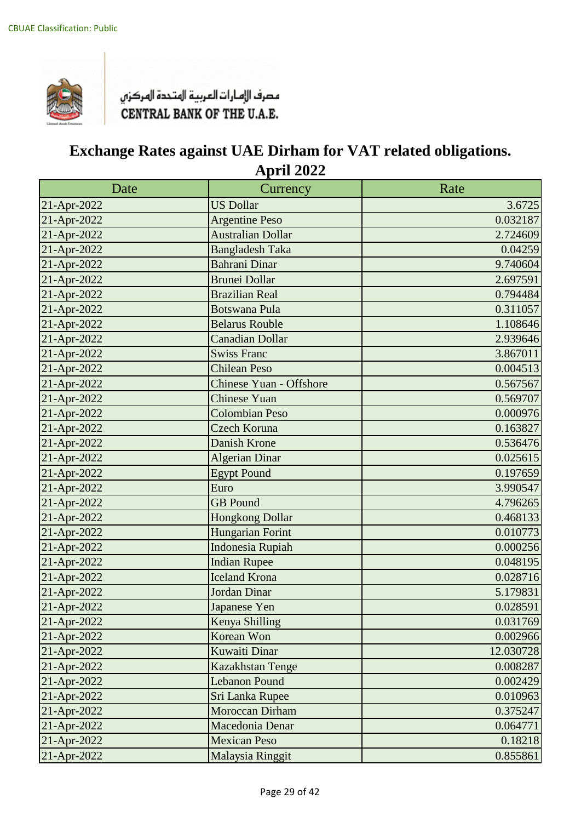

| Date        | Currency                       | Rate      |
|-------------|--------------------------------|-----------|
| 21-Apr-2022 | <b>US Dollar</b>               | 3.6725    |
| 21-Apr-2022 | <b>Argentine Peso</b>          | 0.032187  |
| 21-Apr-2022 | <b>Australian Dollar</b>       | 2.724609  |
| 21-Apr-2022 | <b>Bangladesh Taka</b>         | 0.04259   |
| 21-Apr-2022 | <b>Bahrani Dinar</b>           | 9.740604  |
| 21-Apr-2022 | <b>Brunei Dollar</b>           | 2.697591  |
| 21-Apr-2022 | <b>Brazilian Real</b>          | 0.794484  |
| 21-Apr-2022 | <b>Botswana Pula</b>           | 0.311057  |
| 21-Apr-2022 | <b>Belarus Rouble</b>          | 1.108646  |
| 21-Apr-2022 | <b>Canadian Dollar</b>         | 2.939646  |
| 21-Apr-2022 | <b>Swiss Franc</b>             | 3.867011  |
| 21-Apr-2022 | <b>Chilean Peso</b>            | 0.004513  |
| 21-Apr-2022 | <b>Chinese Yuan - Offshore</b> | 0.567567  |
| 21-Apr-2022 | Chinese Yuan                   | 0.569707  |
| 21-Apr-2022 | <b>Colombian Peso</b>          | 0.000976  |
| 21-Apr-2022 | Czech Koruna                   | 0.163827  |
| 21-Apr-2022 | <b>Danish Krone</b>            | 0.536476  |
| 21-Apr-2022 | <b>Algerian Dinar</b>          | 0.025615  |
| 21-Apr-2022 | <b>Egypt Pound</b>             | 0.197659  |
| 21-Apr-2022 | Euro                           | 3.990547  |
| 21-Apr-2022 | <b>GB</b> Pound                | 4.796265  |
| 21-Apr-2022 | <b>Hongkong Dollar</b>         | 0.468133  |
| 21-Apr-2022 | Hungarian Forint               | 0.010773  |
| 21-Apr-2022 | <b>Indonesia Rupiah</b>        | 0.000256  |
| 21-Apr-2022 | <b>Indian Rupee</b>            | 0.048195  |
| 21-Apr-2022 | <b>Iceland Krona</b>           | 0.028716  |
| 21-Apr-2022 | <b>Jordan Dinar</b>            | 5.179831  |
| 21-Apr-2022 | Japanese Yen                   | 0.028591  |
| 21-Apr-2022 | Kenya Shilling                 | 0.031769  |
| 21-Apr-2022 | Korean Won                     | 0.002966  |
| 21-Apr-2022 | <b>Kuwaiti Dinar</b>           | 12.030728 |
| 21-Apr-2022 | Kazakhstan Tenge               | 0.008287  |
| 21-Apr-2022 | <b>Lebanon Pound</b>           | 0.002429  |
| 21-Apr-2022 | Sri Lanka Rupee                | 0.010963  |
| 21-Apr-2022 | <b>Moroccan Dirham</b>         | 0.375247  |
| 21-Apr-2022 | Macedonia Denar                | 0.064771  |
| 21-Apr-2022 | <b>Mexican Peso</b>            | 0.18218   |
| 21-Apr-2022 | Malaysia Ringgit               | 0.855861  |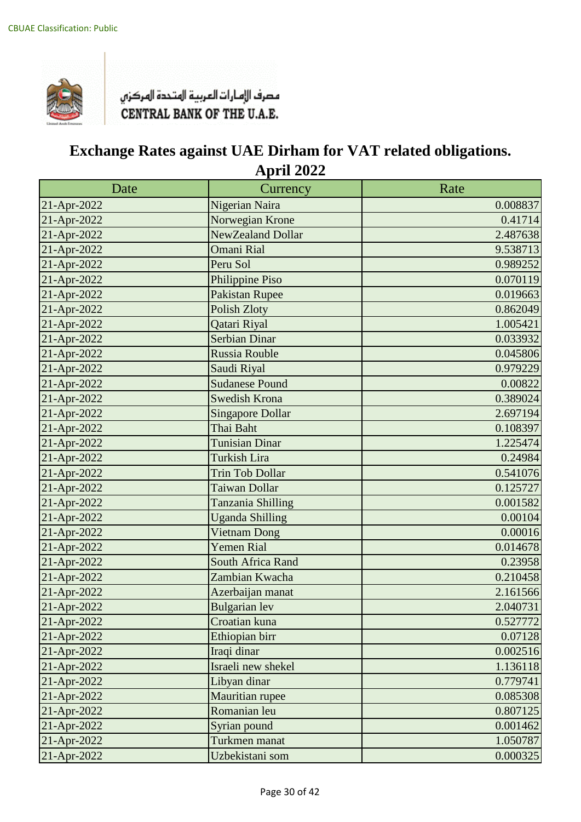

| Date        | Currency                | Rate     |
|-------------|-------------------------|----------|
| 21-Apr-2022 | Nigerian Naira          | 0.008837 |
| 21-Apr-2022 | Norwegian Krone         | 0.41714  |
| 21-Apr-2022 | NewZealand Dollar       | 2.487638 |
| 21-Apr-2022 | <b>Omani Rial</b>       | 9.538713 |
| 21-Apr-2022 | Peru Sol                | 0.989252 |
| 21-Apr-2022 | Philippine Piso         | 0.070119 |
| 21-Apr-2022 | <b>Pakistan Rupee</b>   | 0.019663 |
| 21-Apr-2022 | <b>Polish Zloty</b>     | 0.862049 |
| 21-Apr-2022 | Qatari Riyal            | 1.005421 |
| 21-Apr-2022 | <b>Serbian Dinar</b>    | 0.033932 |
| 21-Apr-2022 | Russia Rouble           | 0.045806 |
| 21-Apr-2022 | Saudi Riyal             | 0.979229 |
| 21-Apr-2022 | <b>Sudanese Pound</b>   | 0.00822  |
| 21-Apr-2022 | <b>Swedish Krona</b>    | 0.389024 |
| 21-Apr-2022 | <b>Singapore Dollar</b> | 2.697194 |
| 21-Apr-2022 | Thai Baht               | 0.108397 |
| 21-Apr-2022 | <b>Tunisian Dinar</b>   | 1.225474 |
| 21-Apr-2022 | <b>Turkish Lira</b>     | 0.24984  |
| 21-Apr-2022 | <b>Trin Tob Dollar</b>  | 0.541076 |
| 21-Apr-2022 | Taiwan Dollar           | 0.125727 |
| 21-Apr-2022 | Tanzania Shilling       | 0.001582 |
| 21-Apr-2022 | <b>Uganda Shilling</b>  | 0.00104  |
| 21-Apr-2022 | <b>Vietnam Dong</b>     | 0.00016  |
| 21-Apr-2022 | <b>Yemen Rial</b>       | 0.014678 |
| 21-Apr-2022 | South Africa Rand       | 0.23958  |
| 21-Apr-2022 | Zambian Kwacha          | 0.210458 |
| 21-Apr-2022 | Azerbaijan manat        | 2.161566 |
| 21-Apr-2022 | <b>Bulgarian</b> lev    | 2.040731 |
| 21-Apr-2022 | Croatian kuna           | 0.527772 |
| 21-Apr-2022 | Ethiopian birr          | 0.07128  |
| 21-Apr-2022 | Iraqi dinar             | 0.002516 |
| 21-Apr-2022 | Israeli new shekel      | 1.136118 |
| 21-Apr-2022 | Libyan dinar            | 0.779741 |
| 21-Apr-2022 | Mauritian rupee         | 0.085308 |
| 21-Apr-2022 | Romanian leu            | 0.807125 |
| 21-Apr-2022 | Syrian pound            | 0.001462 |
| 21-Apr-2022 | Turkmen manat           | 1.050787 |
| 21-Apr-2022 | Uzbekistani som         | 0.000325 |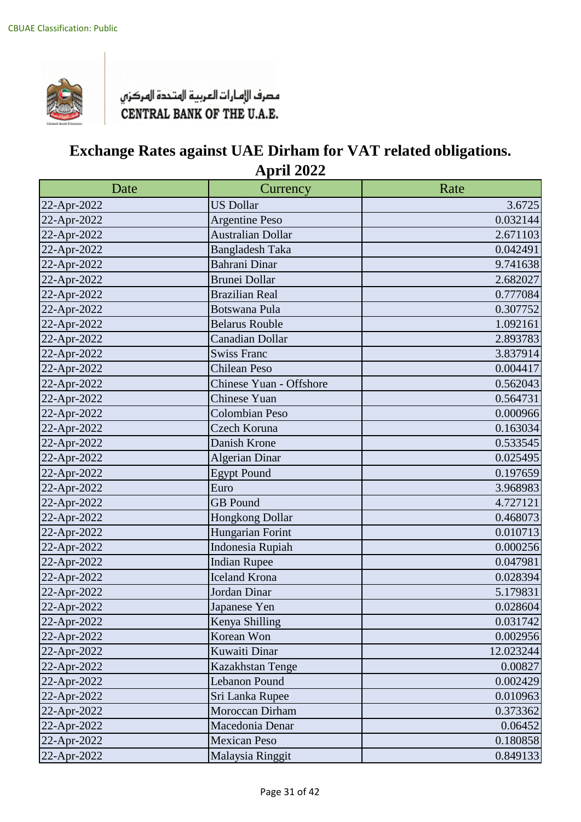

| Date        | Currency                 | Rate      |
|-------------|--------------------------|-----------|
| 22-Apr-2022 | <b>US Dollar</b>         | 3.6725    |
| 22-Apr-2022 | <b>Argentine Peso</b>    | 0.032144  |
| 22-Apr-2022 | <b>Australian Dollar</b> | 2.671103  |
| 22-Apr-2022 | <b>Bangladesh Taka</b>   | 0.042491  |
| 22-Apr-2022 | Bahrani Dinar            | 9.741638  |
| 22-Apr-2022 | <b>Brunei Dollar</b>     | 2.682027  |
| 22-Apr-2022 | <b>Brazilian Real</b>    | 0.777084  |
| 22-Apr-2022 | <b>Botswana Pula</b>     | 0.307752  |
| 22-Apr-2022 | <b>Belarus Rouble</b>    | 1.092161  |
| 22-Apr-2022 | <b>Canadian Dollar</b>   | 2.893783  |
| 22-Apr-2022 | <b>Swiss Franc</b>       | 3.837914  |
| 22-Apr-2022 | <b>Chilean Peso</b>      | 0.004417  |
| 22-Apr-2022 | Chinese Yuan - Offshore  | 0.562043  |
| 22-Apr-2022 | Chinese Yuan             | 0.564731  |
| 22-Apr-2022 | <b>Colombian Peso</b>    | 0.000966  |
| 22-Apr-2022 | Czech Koruna             | 0.163034  |
| 22-Apr-2022 | Danish Krone             | 0.533545  |
| 22-Apr-2022 | <b>Algerian Dinar</b>    | 0.025495  |
| 22-Apr-2022 | <b>Egypt Pound</b>       | 0.197659  |
| 22-Apr-2022 | Euro                     | 3.968983  |
| 22-Apr-2022 | <b>GB</b> Pound          | 4.727121  |
| 22-Apr-2022 | Hongkong Dollar          | 0.468073  |
| 22-Apr-2022 | Hungarian Forint         | 0.010713  |
| 22-Apr-2022 | Indonesia Rupiah         | 0.000256  |
| 22-Apr-2022 | <b>Indian Rupee</b>      | 0.047981  |
| 22-Apr-2022 | <b>Iceland Krona</b>     | 0.028394  |
| 22-Apr-2022 | Jordan Dinar             | 5.179831  |
| 22-Apr-2022 | Japanese Yen             | 0.028604  |
| 22-Apr-2022 | Kenya Shilling           | 0.031742  |
| 22-Apr-2022 | Korean Won               | 0.002956  |
| 22-Apr-2022 | Kuwaiti Dinar            | 12.023244 |
| 22-Apr-2022 | Kazakhstan Tenge         | 0.00827   |
| 22-Apr-2022 | Lebanon Pound            | 0.002429  |
| 22-Apr-2022 | Sri Lanka Rupee          | 0.010963  |
| 22-Apr-2022 | Moroccan Dirham          | 0.373362  |
| 22-Apr-2022 | Macedonia Denar          | 0.06452   |
| 22-Apr-2022 | <b>Mexican Peso</b>      | 0.180858  |
| 22-Apr-2022 | Malaysia Ringgit         | 0.849133  |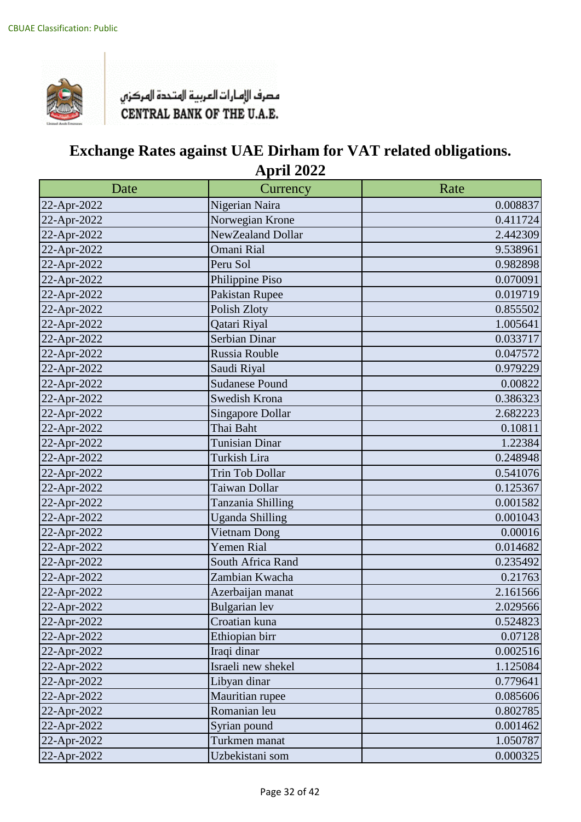

| Date        | Currency                | Rate     |
|-------------|-------------------------|----------|
| 22-Apr-2022 | Nigerian Naira          | 0.008837 |
| 22-Apr-2022 | Norwegian Krone         | 0.411724 |
| 22-Apr-2022 | NewZealand Dollar       | 2.442309 |
| 22-Apr-2022 | <b>Omani Rial</b>       | 9.538961 |
| 22-Apr-2022 | Peru Sol                | 0.982898 |
| 22-Apr-2022 | Philippine Piso         | 0.070091 |
| 22-Apr-2022 | Pakistan Rupee          | 0.019719 |
| 22-Apr-2022 | Polish Zloty            | 0.855502 |
| 22-Apr-2022 | Qatari Riyal            | 1.005641 |
| 22-Apr-2022 | Serbian Dinar           | 0.033717 |
| 22-Apr-2022 | Russia Rouble           | 0.047572 |
| 22-Apr-2022 | Saudi Riyal             | 0.979229 |
| 22-Apr-2022 | <b>Sudanese Pound</b>   | 0.00822  |
| 22-Apr-2022 | Swedish Krona           | 0.386323 |
| 22-Apr-2022 | <b>Singapore Dollar</b> | 2.682223 |
| 22-Apr-2022 | Thai Baht               | 0.10811  |
| 22-Apr-2022 | <b>Tunisian Dinar</b>   | 1.22384  |
| 22-Apr-2022 | Turkish Lira            | 0.248948 |
| 22-Apr-2022 | Trin Tob Dollar         | 0.541076 |
| 22-Apr-2022 | Taiwan Dollar           | 0.125367 |
| 22-Apr-2022 | Tanzania Shilling       | 0.001582 |
| 22-Apr-2022 | <b>Uganda Shilling</b>  | 0.001043 |
| 22-Apr-2022 | Vietnam Dong            | 0.00016  |
| 22-Apr-2022 | <b>Yemen Rial</b>       | 0.014682 |
| 22-Apr-2022 | South Africa Rand       | 0.235492 |
| 22-Apr-2022 | Zambian Kwacha          | 0.21763  |
| 22-Apr-2022 | Azerbaijan manat        | 2.161566 |
| 22-Apr-2022 | Bulgarian lev           | 2.029566 |
| 22-Apr-2022 | Croatian kuna           | 0.524823 |
| 22-Apr-2022 | Ethiopian birr          | 0.07128  |
| 22-Apr-2022 | Iraqi dinar             | 0.002516 |
| 22-Apr-2022 | Israeli new shekel      | 1.125084 |
| 22-Apr-2022 | Libyan dinar            | 0.779641 |
| 22-Apr-2022 | Mauritian rupee         | 0.085606 |
| 22-Apr-2022 | Romanian leu            | 0.802785 |
| 22-Apr-2022 | Syrian pound            | 0.001462 |
| 22-Apr-2022 | Turkmen manat           | 1.050787 |
| 22-Apr-2022 | Uzbekistani som         | 0.000325 |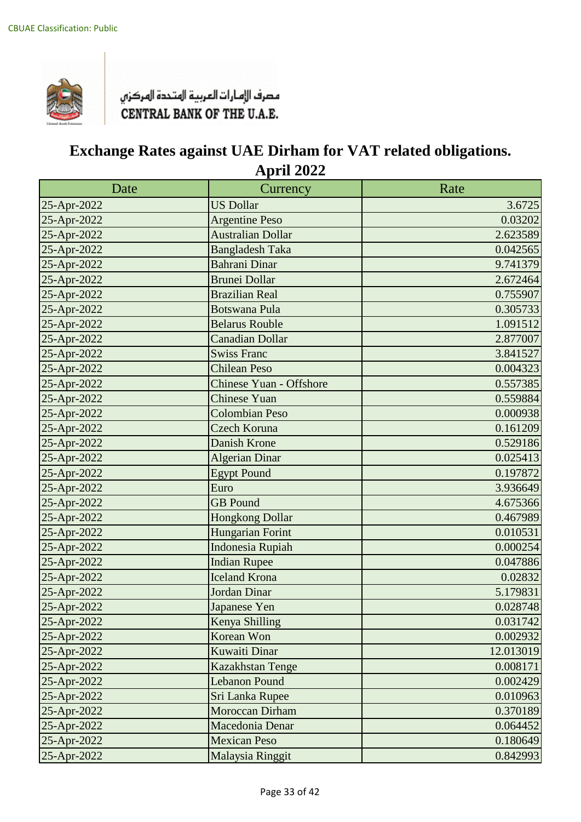

| Date        | Currency                       | Rate      |
|-------------|--------------------------------|-----------|
| 25-Apr-2022 | <b>US Dollar</b>               | 3.6725    |
| 25-Apr-2022 | <b>Argentine Peso</b>          | 0.03202   |
| 25-Apr-2022 | <b>Australian Dollar</b>       | 2.623589  |
| 25-Apr-2022 | <b>Bangladesh Taka</b>         | 0.042565  |
| 25-Apr-2022 | <b>Bahrani Dinar</b>           | 9.741379  |
| 25-Apr-2022 | <b>Brunei Dollar</b>           | 2.672464  |
| 25-Apr-2022 | <b>Brazilian Real</b>          | 0.755907  |
| 25-Apr-2022 | <b>Botswana Pula</b>           | 0.305733  |
| 25-Apr-2022 | <b>Belarus Rouble</b>          | 1.091512  |
| 25-Apr-2022 | <b>Canadian Dollar</b>         | 2.877007  |
| 25-Apr-2022 | <b>Swiss Franc</b>             | 3.841527  |
| 25-Apr-2022 | <b>Chilean Peso</b>            | 0.004323  |
| 25-Apr-2022 | <b>Chinese Yuan - Offshore</b> | 0.557385  |
| 25-Apr-2022 | Chinese Yuan                   | 0.559884  |
| 25-Apr-2022 | <b>Colombian Peso</b>          | 0.000938  |
| 25-Apr-2022 | Czech Koruna                   | 0.161209  |
| 25-Apr-2022 | <b>Danish Krone</b>            | 0.529186  |
| 25-Apr-2022 | <b>Algerian Dinar</b>          | 0.025413  |
| 25-Apr-2022 | <b>Egypt Pound</b>             | 0.197872  |
| 25-Apr-2022 | Euro                           | 3.936649  |
| 25-Apr-2022 | <b>GB</b> Pound                | 4.675366  |
| 25-Apr-2022 | <b>Hongkong Dollar</b>         | 0.467989  |
| 25-Apr-2022 | Hungarian Forint               | 0.010531  |
| 25-Apr-2022 | <b>Indonesia Rupiah</b>        | 0.000254  |
| 25-Apr-2022 | <b>Indian Rupee</b>            | 0.047886  |
| 25-Apr-2022 | <b>Iceland Krona</b>           | 0.02832   |
| 25-Apr-2022 | <b>Jordan Dinar</b>            | 5.179831  |
| 25-Apr-2022 | Japanese Yen                   | 0.028748  |
| 25-Apr-2022 | Kenya Shilling                 | 0.031742  |
| 25-Apr-2022 | Korean Won                     | 0.002932  |
| 25-Apr-2022 | <b>Kuwaiti Dinar</b>           | 12.013019 |
| 25-Apr-2022 | Kazakhstan Tenge               | 0.008171  |
| 25-Apr-2022 | <b>Lebanon Pound</b>           | 0.002429  |
| 25-Apr-2022 | Sri Lanka Rupee                | 0.010963  |
| 25-Apr-2022 | <b>Moroccan Dirham</b>         | 0.370189  |
| 25-Apr-2022 | Macedonia Denar                | 0.064452  |
| 25-Apr-2022 | <b>Mexican Peso</b>            | 0.180649  |
| 25-Apr-2022 | Malaysia Ringgit               | 0.842993  |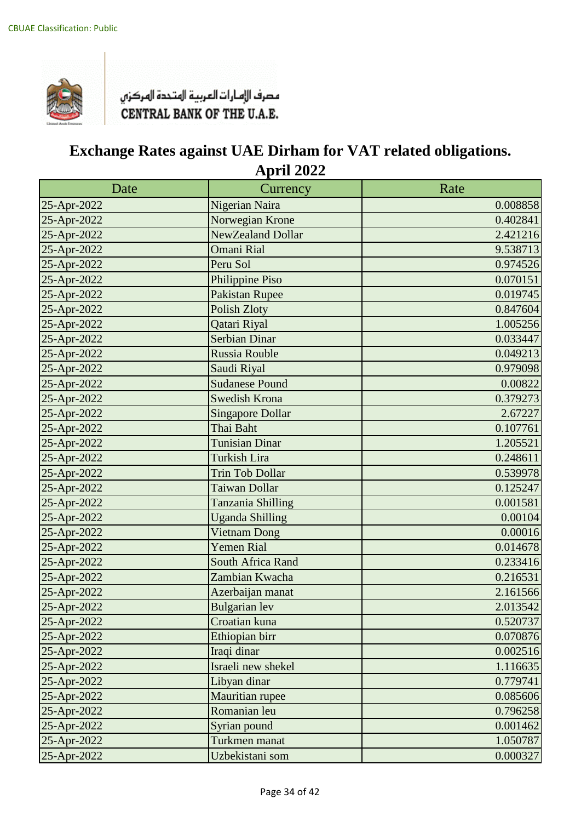

| Date        | Currency                | Rate     |
|-------------|-------------------------|----------|
| 25-Apr-2022 | Nigerian Naira          | 0.008858 |
| 25-Apr-2022 | Norwegian Krone         | 0.402841 |
| 25-Apr-2022 | NewZealand Dollar       | 2.421216 |
| 25-Apr-2022 | <b>Omani Rial</b>       | 9.538713 |
| 25-Apr-2022 | Peru Sol                | 0.974526 |
| 25-Apr-2022 | Philippine Piso         | 0.070151 |
| 25-Apr-2022 | <b>Pakistan Rupee</b>   | 0.019745 |
| 25-Apr-2022 | <b>Polish Zloty</b>     | 0.847604 |
| 25-Apr-2022 | Qatari Riyal            | 1.005256 |
| 25-Apr-2022 | <b>Serbian Dinar</b>    | 0.033447 |
| 25-Apr-2022 | <b>Russia Rouble</b>    | 0.049213 |
| 25-Apr-2022 | Saudi Riyal             | 0.979098 |
| 25-Apr-2022 | <b>Sudanese Pound</b>   | 0.00822  |
| 25-Apr-2022 | Swedish Krona           | 0.379273 |
| 25-Apr-2022 | <b>Singapore Dollar</b> | 2.67227  |
| 25-Apr-2022 | Thai Baht               | 0.107761 |
| 25-Apr-2022 | <b>Tunisian Dinar</b>   | 1.205521 |
| 25-Apr-2022 | Turkish Lira            | 0.248611 |
| 25-Apr-2022 | <b>Trin Tob Dollar</b>  | 0.539978 |
| 25-Apr-2022 | Taiwan Dollar           | 0.125247 |
| 25-Apr-2022 | Tanzania Shilling       | 0.001581 |
| 25-Apr-2022 | <b>Uganda Shilling</b>  | 0.00104  |
| 25-Apr-2022 | <b>Vietnam Dong</b>     | 0.00016  |
| 25-Apr-2022 | <b>Yemen Rial</b>       | 0.014678 |
| 25-Apr-2022 | South Africa Rand       | 0.233416 |
| 25-Apr-2022 | Zambian Kwacha          | 0.216531 |
| 25-Apr-2022 | Azerbaijan manat        | 2.161566 |
| 25-Apr-2022 | <b>Bulgarian</b> lev    | 2.013542 |
| 25-Apr-2022 | Croatian kuna           | 0.520737 |
| 25-Apr-2022 | Ethiopian birr          | 0.070876 |
| 25-Apr-2022 | Iraqi dinar             | 0.002516 |
| 25-Apr-2022 | Israeli new shekel      | 1.116635 |
| 25-Apr-2022 | Libyan dinar            | 0.779741 |
| 25-Apr-2022 | Mauritian rupee         | 0.085606 |
| 25-Apr-2022 | Romanian leu            | 0.796258 |
| 25-Apr-2022 | Syrian pound            | 0.001462 |
| 25-Apr-2022 | Turkmen manat           | 1.050787 |
| 25-Apr-2022 | Uzbekistani som         | 0.000327 |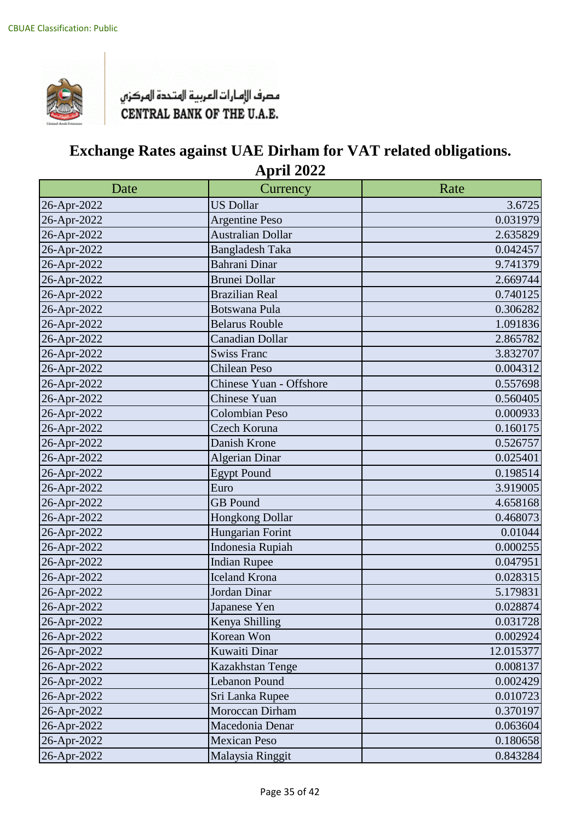

| Date        | Currency                 | Rate      |
|-------------|--------------------------|-----------|
| 26-Apr-2022 | <b>US Dollar</b>         | 3.6725    |
| 26-Apr-2022 | <b>Argentine Peso</b>    | 0.031979  |
| 26-Apr-2022 | <b>Australian Dollar</b> | 2.635829  |
| 26-Apr-2022 | <b>Bangladesh Taka</b>   | 0.042457  |
| 26-Apr-2022 | Bahrani Dinar            | 9.741379  |
| 26-Apr-2022 | <b>Brunei Dollar</b>     | 2.669744  |
| 26-Apr-2022 | <b>Brazilian Real</b>    | 0.740125  |
| 26-Apr-2022 | <b>Botswana Pula</b>     | 0.306282  |
| 26-Apr-2022 | <b>Belarus Rouble</b>    | 1.091836  |
| 26-Apr-2022 | <b>Canadian Dollar</b>   | 2.865782  |
| 26-Apr-2022 | <b>Swiss Franc</b>       | 3.832707  |
| 26-Apr-2022 | <b>Chilean Peso</b>      | 0.004312  |
| 26-Apr-2022 | Chinese Yuan - Offshore  | 0.557698  |
| 26-Apr-2022 | Chinese Yuan             | 0.560405  |
| 26-Apr-2022 | <b>Colombian Peso</b>    | 0.000933  |
| 26-Apr-2022 | Czech Koruna             | 0.160175  |
| 26-Apr-2022 | Danish Krone             | 0.526757  |
| 26-Apr-2022 | <b>Algerian Dinar</b>    | 0.025401  |
| 26-Apr-2022 | <b>Egypt Pound</b>       | 0.198514  |
| 26-Apr-2022 | Euro                     | 3.919005  |
| 26-Apr-2022 | <b>GB</b> Pound          | 4.658168  |
| 26-Apr-2022 | Hongkong Dollar          | 0.468073  |
| 26-Apr-2022 | Hungarian Forint         | 0.01044   |
| 26-Apr-2022 | Indonesia Rupiah         | 0.000255  |
| 26-Apr-2022 | <b>Indian Rupee</b>      | 0.047951  |
| 26-Apr-2022 | <b>Iceland Krona</b>     | 0.028315  |
| 26-Apr-2022 | Jordan Dinar             | 5.179831  |
| 26-Apr-2022 | Japanese Yen             | 0.028874  |
| 26-Apr-2022 | Kenya Shilling           | 0.031728  |
| 26-Apr-2022 | Korean Won               | 0.002924  |
| 26-Apr-2022 | Kuwaiti Dinar            | 12.015377 |
| 26-Apr-2022 | Kazakhstan Tenge         | 0.008137  |
| 26-Apr-2022 | Lebanon Pound            | 0.002429  |
| 26-Apr-2022 | Sri Lanka Rupee          | 0.010723  |
| 26-Apr-2022 | Moroccan Dirham          | 0.370197  |
| 26-Apr-2022 | Macedonia Denar          | 0.063604  |
| 26-Apr-2022 | <b>Mexican Peso</b>      | 0.180658  |
| 26-Apr-2022 | Malaysia Ringgit         | 0.843284  |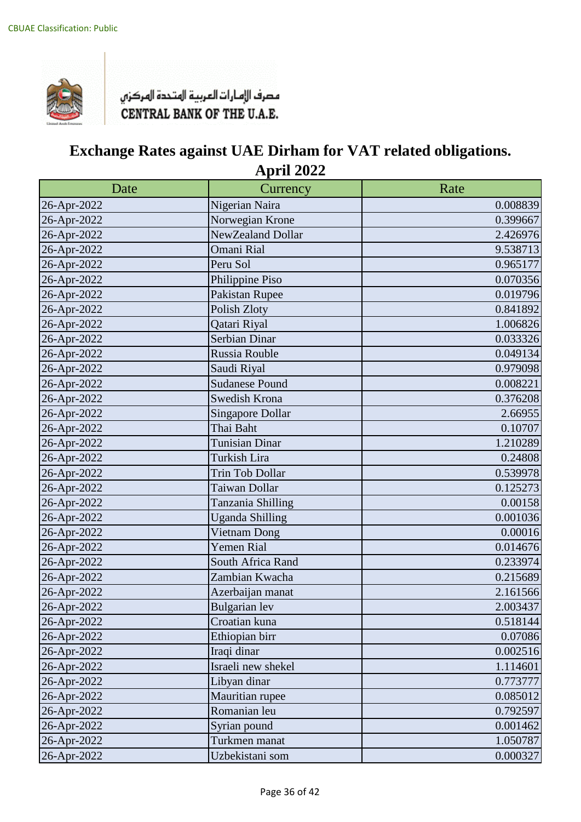

| Date        | Currency                | Rate     |
|-------------|-------------------------|----------|
| 26-Apr-2022 | Nigerian Naira          | 0.008839 |
| 26-Apr-2022 | Norwegian Krone         | 0.399667 |
| 26-Apr-2022 | NewZealand Dollar       | 2.426976 |
| 26-Apr-2022 | Omani Rial              | 9.538713 |
| 26-Apr-2022 | Peru Sol                | 0.965177 |
| 26-Apr-2022 | Philippine Piso         | 0.070356 |
| 26-Apr-2022 | Pakistan Rupee          | 0.019796 |
| 26-Apr-2022 | Polish Zloty            | 0.841892 |
| 26-Apr-2022 | Qatari Riyal            | 1.006826 |
| 26-Apr-2022 | Serbian Dinar           | 0.033326 |
| 26-Apr-2022 | Russia Rouble           | 0.049134 |
| 26-Apr-2022 | Saudi Riyal             | 0.979098 |
| 26-Apr-2022 | <b>Sudanese Pound</b>   | 0.008221 |
| 26-Apr-2022 | Swedish Krona           | 0.376208 |
| 26-Apr-2022 | <b>Singapore Dollar</b> | 2.66955  |
| 26-Apr-2022 | Thai Baht               | 0.10707  |
| 26-Apr-2022 | Tunisian Dinar          | 1.210289 |
| 26-Apr-2022 | Turkish Lira            | 0.24808  |
| 26-Apr-2022 | Trin Tob Dollar         | 0.539978 |
| 26-Apr-2022 | Taiwan Dollar           | 0.125273 |
| 26-Apr-2022 | Tanzania Shilling       | 0.00158  |
| 26-Apr-2022 | <b>Uganda Shilling</b>  | 0.001036 |
| 26-Apr-2022 | Vietnam Dong            | 0.00016  |
| 26-Apr-2022 | Yemen Rial              | 0.014676 |
| 26-Apr-2022 | South Africa Rand       | 0.233974 |
| 26-Apr-2022 | Zambian Kwacha          | 0.215689 |
| 26-Apr-2022 | Azerbaijan manat        | 2.161566 |
| 26-Apr-2022 | Bulgarian lev           | 2.003437 |
| 26-Apr-2022 | Croatian kuna           | 0.518144 |
| 26-Apr-2022 | Ethiopian birr          | 0.07086  |
| 26-Apr-2022 | Iraqi dinar             | 0.002516 |
| 26-Apr-2022 | Israeli new shekel      | 1.114601 |
| 26-Apr-2022 | Libyan dinar            | 0.773777 |
| 26-Apr-2022 | Mauritian rupee         | 0.085012 |
| 26-Apr-2022 | Romanian leu            | 0.792597 |
| 26-Apr-2022 | Syrian pound            | 0.001462 |
| 26-Apr-2022 | Turkmen manat           | 1.050787 |
| 26-Apr-2022 | Uzbekistani som         | 0.000327 |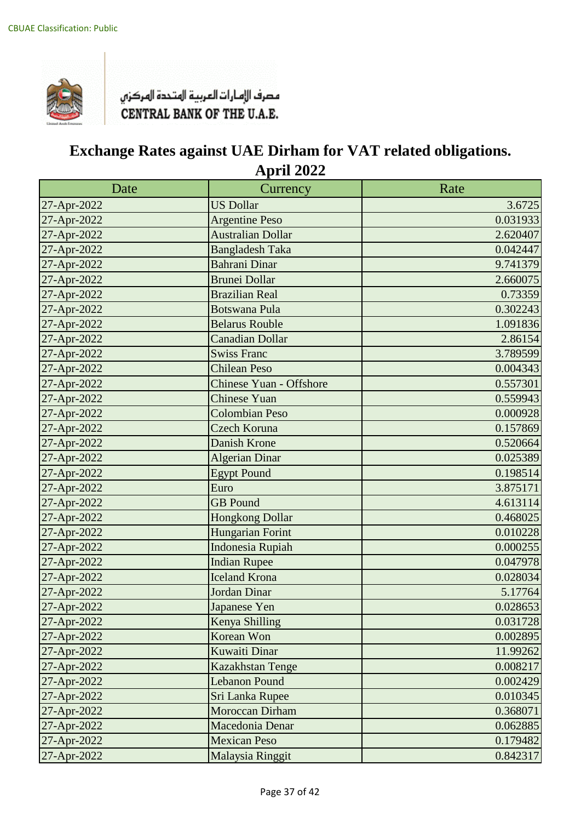

| Date        | Currency                       | Rate     |
|-------------|--------------------------------|----------|
| 27-Apr-2022 | <b>US Dollar</b>               | 3.6725   |
| 27-Apr-2022 | <b>Argentine Peso</b>          | 0.031933 |
| 27-Apr-2022 | <b>Australian Dollar</b>       | 2.620407 |
| 27-Apr-2022 | <b>Bangladesh Taka</b>         | 0.042447 |
| 27-Apr-2022 | <b>Bahrani Dinar</b>           | 9.741379 |
| 27-Apr-2022 | <b>Brunei Dollar</b>           | 2.660075 |
| 27-Apr-2022 | <b>Brazilian Real</b>          | 0.73359  |
| 27-Apr-2022 | <b>Botswana Pula</b>           | 0.302243 |
| 27-Apr-2022 | <b>Belarus Rouble</b>          | 1.091836 |
| 27-Apr-2022 | <b>Canadian Dollar</b>         | 2.86154  |
| 27-Apr-2022 | <b>Swiss Franc</b>             | 3.789599 |
| 27-Apr-2022 | <b>Chilean Peso</b>            | 0.004343 |
| 27-Apr-2022 | <b>Chinese Yuan - Offshore</b> | 0.557301 |
| 27-Apr-2022 | Chinese Yuan                   | 0.559943 |
| 27-Apr-2022 | <b>Colombian Peso</b>          | 0.000928 |
| 27-Apr-2022 | Czech Koruna                   | 0.157869 |
| 27-Apr-2022 | <b>Danish Krone</b>            | 0.520664 |
| 27-Apr-2022 | <b>Algerian Dinar</b>          | 0.025389 |
| 27-Apr-2022 | <b>Egypt Pound</b>             | 0.198514 |
| 27-Apr-2022 | Euro                           | 3.875171 |
| 27-Apr-2022 | <b>GB</b> Pound                | 4.613114 |
| 27-Apr-2022 | <b>Hongkong Dollar</b>         | 0.468025 |
| 27-Apr-2022 | Hungarian Forint               | 0.010228 |
| 27-Apr-2022 | <b>Indonesia Rupiah</b>        | 0.000255 |
| 27-Apr-2022 | <b>Indian Rupee</b>            | 0.047978 |
| 27-Apr-2022 | <b>Iceland Krona</b>           | 0.028034 |
| 27-Apr-2022 | <b>Jordan Dinar</b>            | 5.17764  |
| 27-Apr-2022 | Japanese Yen                   | 0.028653 |
| 27-Apr-2022 | Kenya Shilling                 | 0.031728 |
| 27-Apr-2022 | Korean Won                     | 0.002895 |
| 27-Apr-2022 | <b>Kuwaiti Dinar</b>           | 11.99262 |
| 27-Apr-2022 | Kazakhstan Tenge               | 0.008217 |
| 27-Apr-2022 | <b>Lebanon Pound</b>           | 0.002429 |
| 27-Apr-2022 | Sri Lanka Rupee                | 0.010345 |
| 27-Apr-2022 | <b>Moroccan Dirham</b>         | 0.368071 |
| 27-Apr-2022 | Macedonia Denar                | 0.062885 |
| 27-Apr-2022 | <b>Mexican Peso</b>            | 0.179482 |
| 27-Apr-2022 | Malaysia Ringgit               | 0.842317 |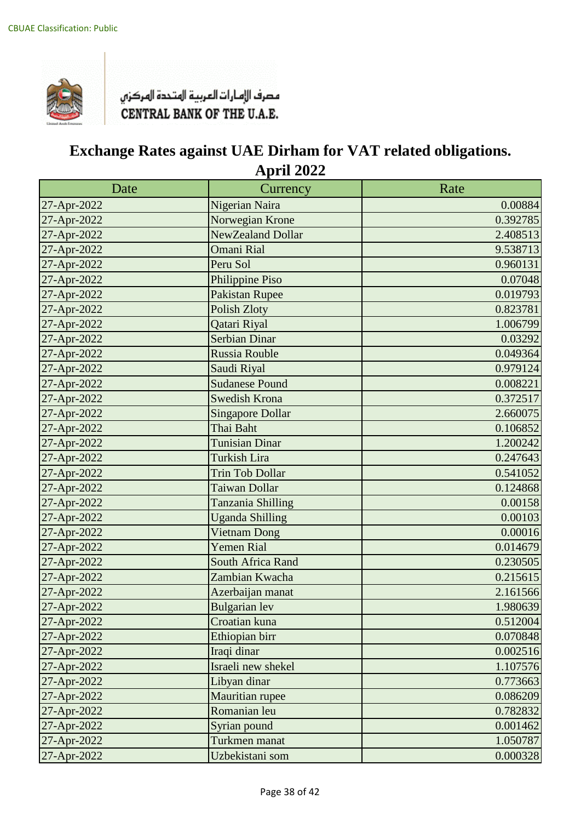

| Date        | Currency                | Rate     |
|-------------|-------------------------|----------|
| 27-Apr-2022 | Nigerian Naira          | 0.00884  |
| 27-Apr-2022 | Norwegian Krone         | 0.392785 |
| 27-Apr-2022 | NewZealand Dollar       | 2.408513 |
| 27-Apr-2022 | <b>Omani Rial</b>       | 9.538713 |
| 27-Apr-2022 | Peru Sol                | 0.960131 |
| 27-Apr-2022 | Philippine Piso         | 0.07048  |
| 27-Apr-2022 | Pakistan Rupee          | 0.019793 |
| 27-Apr-2022 | Polish Zloty            | 0.823781 |
| 27-Apr-2022 | Qatari Riyal            | 1.006799 |
| 27-Apr-2022 | Serbian Dinar           | 0.03292  |
| 27-Apr-2022 | Russia Rouble           | 0.049364 |
| 27-Apr-2022 | Saudi Riyal             | 0.979124 |
| 27-Apr-2022 | <b>Sudanese Pound</b>   | 0.008221 |
| 27-Apr-2022 | Swedish Krona           | 0.372517 |
| 27-Apr-2022 | <b>Singapore Dollar</b> | 2.660075 |
| 27-Apr-2022 | Thai Baht               | 0.106852 |
| 27-Apr-2022 | <b>Tunisian Dinar</b>   | 1.200242 |
| 27-Apr-2022 | <b>Turkish Lira</b>     | 0.247643 |
| 27-Apr-2022 | <b>Trin Tob Dollar</b>  | 0.541052 |
| 27-Apr-2022 | <b>Taiwan Dollar</b>    | 0.124868 |
| 27-Apr-2022 | Tanzania Shilling       | 0.00158  |
| 27-Apr-2022 | <b>Uganda Shilling</b>  | 0.00103  |
| 27-Apr-2022 | <b>Vietnam Dong</b>     | 0.00016  |
| 27-Apr-2022 | <b>Yemen Rial</b>       | 0.014679 |
| 27-Apr-2022 | South Africa Rand       | 0.230505 |
| 27-Apr-2022 | Zambian Kwacha          | 0.215615 |
| 27-Apr-2022 | Azerbaijan manat        | 2.161566 |
| 27-Apr-2022 | <b>Bulgarian</b> lev    | 1.980639 |
| 27-Apr-2022 | Croatian kuna           | 0.512004 |
| 27-Apr-2022 | Ethiopian birr          | 0.070848 |
| 27-Apr-2022 | Iraqi dinar             | 0.002516 |
| 27-Apr-2022 | Israeli new shekel      | 1.107576 |
| 27-Apr-2022 | Libyan dinar            | 0.773663 |
| 27-Apr-2022 | Mauritian rupee         | 0.086209 |
| 27-Apr-2022 | Romanian leu            | 0.782832 |
| 27-Apr-2022 | Syrian pound            | 0.001462 |
| 27-Apr-2022 | Turkmen manat           | 1.050787 |
| 27-Apr-2022 | Uzbekistani som         | 0.000328 |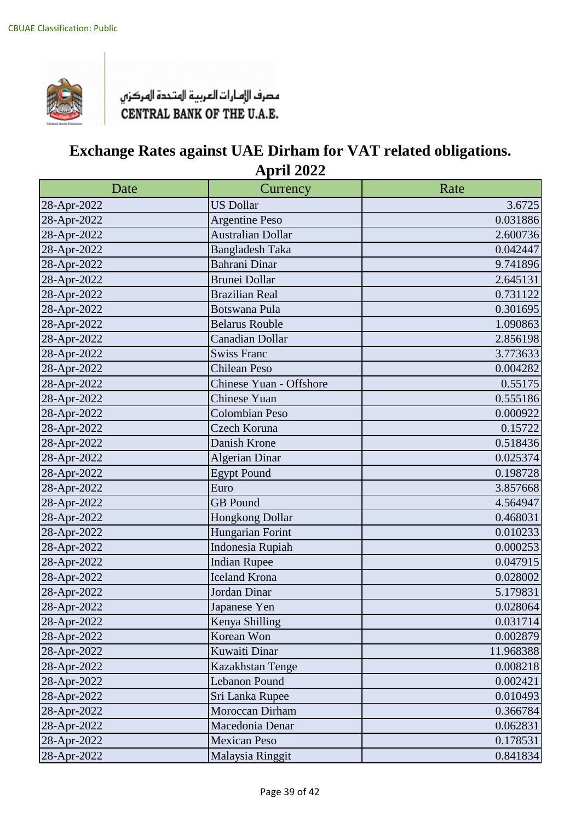

| Date        | Currency                 | Rate      |
|-------------|--------------------------|-----------|
| 28-Apr-2022 | <b>US Dollar</b>         | 3.6725    |
| 28-Apr-2022 | <b>Argentine Peso</b>    | 0.031886  |
| 28-Apr-2022 | <b>Australian Dollar</b> | 2.600736  |
| 28-Apr-2022 | <b>Bangladesh Taka</b>   | 0.042447  |
| 28-Apr-2022 | Bahrani Dinar            | 9.741896  |
| 28-Apr-2022 | <b>Brunei Dollar</b>     | 2.645131  |
| 28-Apr-2022 | <b>Brazilian Real</b>    | 0.731122  |
| 28-Apr-2022 | <b>Botswana Pula</b>     | 0.301695  |
| 28-Apr-2022 | <b>Belarus Rouble</b>    | 1.090863  |
| 28-Apr-2022 | <b>Canadian Dollar</b>   | 2.856198  |
| 28-Apr-2022 | <b>Swiss Franc</b>       | 3.773633  |
| 28-Apr-2022 | <b>Chilean Peso</b>      | 0.004282  |
| 28-Apr-2022 | Chinese Yuan - Offshore  | 0.55175   |
| 28-Apr-2022 | <b>Chinese Yuan</b>      | 0.555186  |
| 28-Apr-2022 | Colombian Peso           | 0.000922  |
| 28-Apr-2022 | Czech Koruna             | 0.15722   |
| 28-Apr-2022 | Danish Krone             | 0.518436  |
| 28-Apr-2022 | <b>Algerian Dinar</b>    | 0.025374  |
| 28-Apr-2022 | <b>Egypt Pound</b>       | 0.198728  |
| 28-Apr-2022 | Euro                     | 3.857668  |
| 28-Apr-2022 | <b>GB</b> Pound          | 4.564947  |
| 28-Apr-2022 | Hongkong Dollar          | 0.468031  |
| 28-Apr-2022 | Hungarian Forint         | 0.010233  |
| 28-Apr-2022 | Indonesia Rupiah         | 0.000253  |
| 28-Apr-2022 | <b>Indian Rupee</b>      | 0.047915  |
| 28-Apr-2022 | <b>Iceland Krona</b>     | 0.028002  |
| 28-Apr-2022 | Jordan Dinar             | 5.179831  |
| 28-Apr-2022 | Japanese Yen             | 0.028064  |
| 28-Apr-2022 | Kenya Shilling           | 0.031714  |
| 28-Apr-2022 | Korean Won               | 0.002879  |
| 28-Apr-2022 | Kuwaiti Dinar            | 11.968388 |
| 28-Apr-2022 | Kazakhstan Tenge         | 0.008218  |
| 28-Apr-2022 | Lebanon Pound            | 0.002421  |
| 28-Apr-2022 | Sri Lanka Rupee          | 0.010493  |
| 28-Apr-2022 | Moroccan Dirham          | 0.366784  |
| 28-Apr-2022 | Macedonia Denar          | 0.062831  |
| 28-Apr-2022 | <b>Mexican Peso</b>      | 0.178531  |
| 28-Apr-2022 | Malaysia Ringgit         | 0.841834  |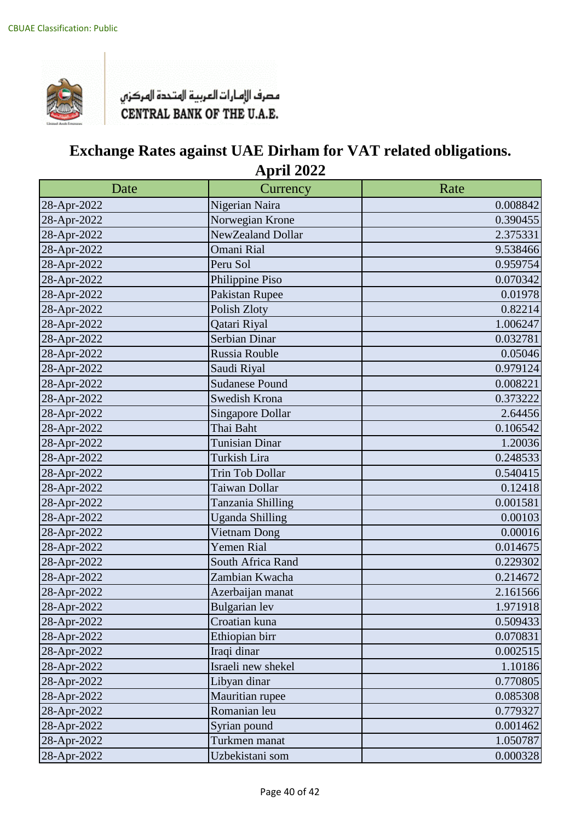

| Date        | Currency                | Rate     |
|-------------|-------------------------|----------|
| 28-Apr-2022 | Nigerian Naira          | 0.008842 |
| 28-Apr-2022 | Norwegian Krone         | 0.390455 |
| 28-Apr-2022 | NewZealand Dollar       | 2.375331 |
| 28-Apr-2022 | <b>Omani Rial</b>       | 9.538466 |
| 28-Apr-2022 | Peru Sol                | 0.959754 |
| 28-Apr-2022 | Philippine Piso         | 0.070342 |
| 28-Apr-2022 | Pakistan Rupee          | 0.01978  |
| 28-Apr-2022 | Polish Zloty            | 0.82214  |
| 28-Apr-2022 | Qatari Riyal            | 1.006247 |
| 28-Apr-2022 | Serbian Dinar           | 0.032781 |
| 28-Apr-2022 | Russia Rouble           | 0.05046  |
| 28-Apr-2022 | Saudi Riyal             | 0.979124 |
| 28-Apr-2022 | <b>Sudanese Pound</b>   | 0.008221 |
| 28-Apr-2022 | Swedish Krona           | 0.373222 |
| 28-Apr-2022 | <b>Singapore Dollar</b> | 2.64456  |
| 28-Apr-2022 | Thai Baht               | 0.106542 |
| 28-Apr-2022 | <b>Tunisian Dinar</b>   | 1.20036  |
| 28-Apr-2022 | Turkish Lira            | 0.248533 |
| 28-Apr-2022 | Trin Tob Dollar         | 0.540415 |
| 28-Apr-2022 | Taiwan Dollar           | 0.12418  |
| 28-Apr-2022 | Tanzania Shilling       | 0.001581 |
| 28-Apr-2022 | <b>Uganda Shilling</b>  | 0.00103  |
| 28-Apr-2022 | Vietnam Dong            | 0.00016  |
| 28-Apr-2022 | Yemen Rial              | 0.014675 |
| 28-Apr-2022 | South Africa Rand       | 0.229302 |
| 28-Apr-2022 | Zambian Kwacha          | 0.214672 |
| 28-Apr-2022 | Azerbaijan manat        | 2.161566 |
| 28-Apr-2022 | <b>Bulgarian</b> lev    | 1.971918 |
| 28-Apr-2022 | Croatian kuna           | 0.509433 |
| 28-Apr-2022 | Ethiopian birr          | 0.070831 |
| 28-Apr-2022 | Iraqi dinar             | 0.002515 |
| 28-Apr-2022 | Israeli new shekel      | 1.10186  |
| 28-Apr-2022 | Libyan dinar            | 0.770805 |
| 28-Apr-2022 | Mauritian rupee         | 0.085308 |
| 28-Apr-2022 | Romanian leu            | 0.779327 |
| 28-Apr-2022 | Syrian pound            | 0.001462 |
| 28-Apr-2022 | Turkmen manat           | 1.050787 |
| 28-Apr-2022 | Uzbekistani som         | 0.000328 |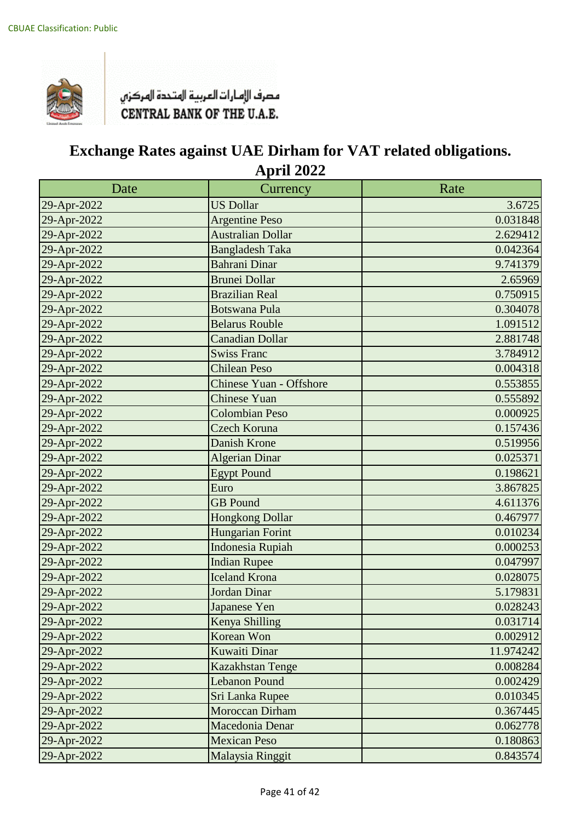

| Date        | Currency                       | Rate      |
|-------------|--------------------------------|-----------|
| 29-Apr-2022 | <b>US Dollar</b>               | 3.6725    |
| 29-Apr-2022 | <b>Argentine Peso</b>          | 0.031848  |
| 29-Apr-2022 | <b>Australian Dollar</b>       | 2.629412  |
| 29-Apr-2022 | <b>Bangladesh Taka</b>         | 0.042364  |
| 29-Apr-2022 | <b>Bahrani Dinar</b>           | 9.741379  |
| 29-Apr-2022 | <b>Brunei Dollar</b>           | 2.65969   |
| 29-Apr-2022 | <b>Brazilian Real</b>          | 0.750915  |
| 29-Apr-2022 | <b>Botswana Pula</b>           | 0.304078  |
| 29-Apr-2022 | <b>Belarus Rouble</b>          | 1.091512  |
| 29-Apr-2022 | <b>Canadian Dollar</b>         | 2.881748  |
| 29-Apr-2022 | <b>Swiss Franc</b>             | 3.784912  |
| 29-Apr-2022 | <b>Chilean Peso</b>            | 0.004318  |
| 29-Apr-2022 | <b>Chinese Yuan - Offshore</b> | 0.553855  |
| 29-Apr-2022 | <b>Chinese Yuan</b>            | 0.555892  |
| 29-Apr-2022 | <b>Colombian Peso</b>          | 0.000925  |
| 29-Apr-2022 | Czech Koruna                   | 0.157436  |
| 29-Apr-2022 | <b>Danish Krone</b>            | 0.519956  |
| 29-Apr-2022 | Algerian Dinar                 | 0.025371  |
| 29-Apr-2022 | <b>Egypt Pound</b>             | 0.198621  |
| 29-Apr-2022 | Euro                           | 3.867825  |
| 29-Apr-2022 | <b>GB</b> Pound                | 4.611376  |
| 29-Apr-2022 | <b>Hongkong Dollar</b>         | 0.467977  |
| 29-Apr-2022 | Hungarian Forint               | 0.010234  |
| 29-Apr-2022 | <b>Indonesia Rupiah</b>        | 0.000253  |
| 29-Apr-2022 | <b>Indian Rupee</b>            | 0.047997  |
| 29-Apr-2022 | <b>Iceland Krona</b>           | 0.028075  |
| 29-Apr-2022 | Jordan Dinar                   | 5.179831  |
| 29-Apr-2022 | Japanese Yen                   | 0.028243  |
| 29-Apr-2022 | Kenya Shilling                 | 0.031714  |
| 29-Apr-2022 | Korean Won                     | 0.002912  |
| 29-Apr-2022 | <b>Kuwaiti Dinar</b>           | 11.974242 |
| 29-Apr-2022 | <b>Kazakhstan Tenge</b>        | 0.008284  |
| 29-Apr-2022 | <b>Lebanon Pound</b>           | 0.002429  |
| 29-Apr-2022 | Sri Lanka Rupee                | 0.010345  |
| 29-Apr-2022 | Moroccan Dirham                | 0.367445  |
| 29-Apr-2022 | Macedonia Denar                | 0.062778  |
| 29-Apr-2022 | <b>Mexican Peso</b>            | 0.180863  |
| 29-Apr-2022 | Malaysia Ringgit               | 0.843574  |